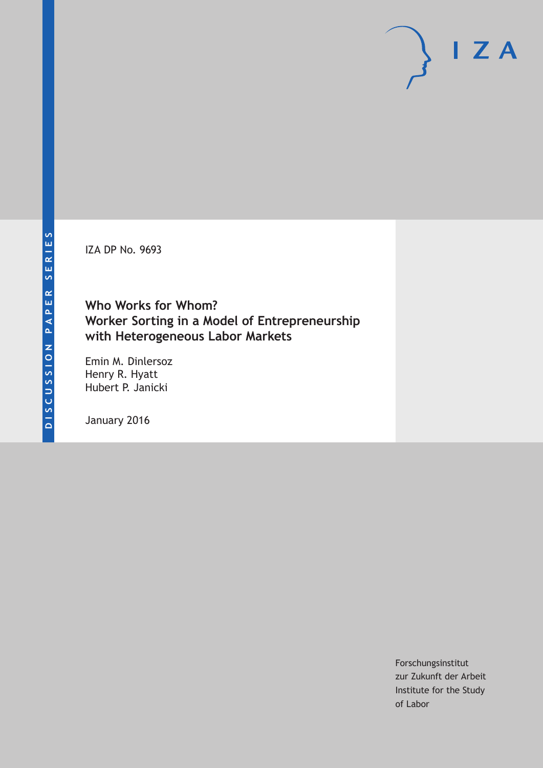IZA DP No. 9693

## **Who Works for Whom? Worker Sorting in a Model of Entrepreneurship with Heterogeneous Labor Markets**

Emin M. Dinlersoz Henry R. Hyatt Hubert P. Janicki

January 2016

Forschungsinstitut zur Zukunft der Arbeit Institute for the Study of Labor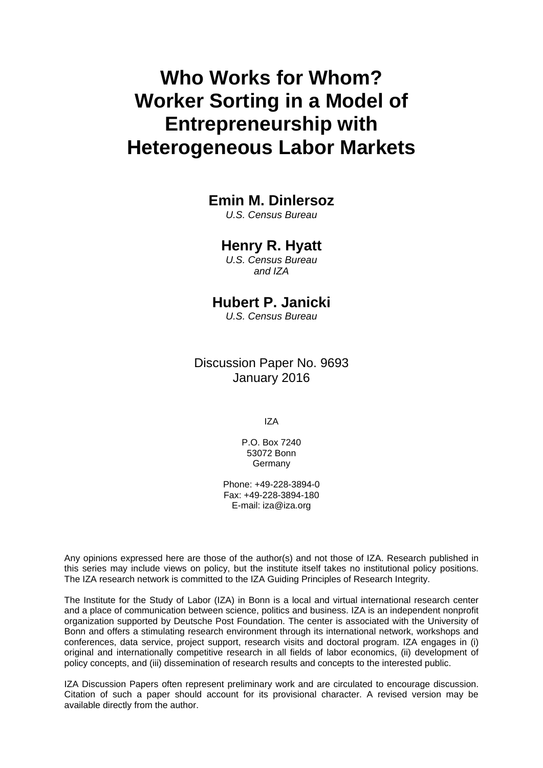# **Who Works for Whom? Worker Sorting in a Model of Entrepreneurship with Heterogeneous Labor Markets**

#### **Emin M. Dinlersoz**

*U.S. Census Bureau* 

#### **Henry R. Hyatt**

*U.S. Census Bureau and IZA* 

## **Hubert P. Janicki**

*U.S. Census Bureau*

Discussion Paper No. 9693 January 2016

IZA

P.O. Box 7240 53072 Bonn **Germany** 

Phone: +49-228-3894-0 Fax: +49-228-3894-180 E-mail: iza@iza.org

Any opinions expressed here are those of the author(s) and not those of IZA. Research published in this series may include views on policy, but the institute itself takes no institutional policy positions. The IZA research network is committed to the IZA Guiding Principles of Research Integrity.

The Institute for the Study of Labor (IZA) in Bonn is a local and virtual international research center and a place of communication between science, politics and business. IZA is an independent nonprofit organization supported by Deutsche Post Foundation. The center is associated with the University of Bonn and offers a stimulating research environment through its international network, workshops and conferences, data service, project support, research visits and doctoral program. IZA engages in (i) original and internationally competitive research in all fields of labor economics, (ii) development of policy concepts, and (iii) dissemination of research results and concepts to the interested public.

IZA Discussion Papers often represent preliminary work and are circulated to encourage discussion. Citation of such a paper should account for its provisional character. A revised version may be available directly from the author.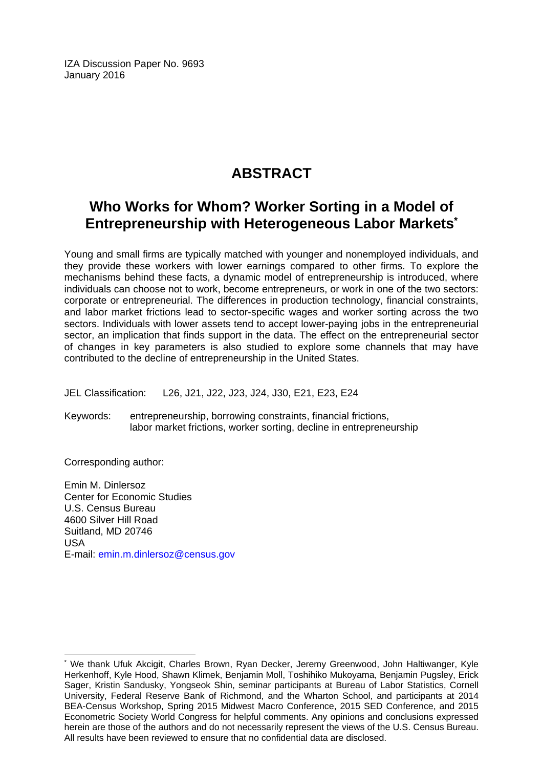IZA Discussion Paper No. 9693 January 2016

## **ABSTRACT**

## **Who Works for Whom? Worker Sorting in a Model of Entrepreneurship with Heterogeneous Labor Markets\***

Young and small firms are typically matched with younger and nonemployed individuals, and they provide these workers with lower earnings compared to other firms. To explore the mechanisms behind these facts, a dynamic model of entrepreneurship is introduced, where individuals can choose not to work, become entrepreneurs, or work in one of the two sectors: corporate or entrepreneurial. The differences in production technology, financial constraints, and labor market frictions lead to sector-specific wages and worker sorting across the two sectors. Individuals with lower assets tend to accept lower-paying jobs in the entrepreneurial sector, an implication that finds support in the data. The effect on the entrepreneurial sector of changes in key parameters is also studied to explore some channels that may have contributed to the decline of entrepreneurship in the United States.

JEL Classification: L26, J21, J22, J23, J24, J30, E21, E23, E24

Keywords: entrepreneurship, borrowing constraints, financial frictions, labor market frictions, worker sorting, decline in entrepreneurship

Corresponding author:

 $\overline{a}$ 

Emin M. Dinlersoz Center for Economic Studies U.S. Census Bureau 4600 Silver Hill Road Suitland, MD 20746 USA E-mail: emin.m.dinlersoz@census.gov

<sup>\*</sup> We thank Ufuk Akcigit, Charles Brown, Ryan Decker, Jeremy Greenwood, John Haltiwanger, Kyle Herkenhoff, Kyle Hood, Shawn Klimek, Benjamin Moll, Toshihiko Mukoyama, Benjamin Pugsley, Erick Sager, Kristin Sandusky, Yongseok Shin, seminar participants at Bureau of Labor Statistics, Cornell University, Federal Reserve Bank of Richmond, and the Wharton School, and participants at 2014 BEA-Census Workshop, Spring 2015 Midwest Macro Conference, 2015 SED Conference, and 2015 Econometric Society World Congress for helpful comments. Any opinions and conclusions expressed herein are those of the authors and do not necessarily represent the views of the U.S. Census Bureau. All results have been reviewed to ensure that no confidential data are disclosed.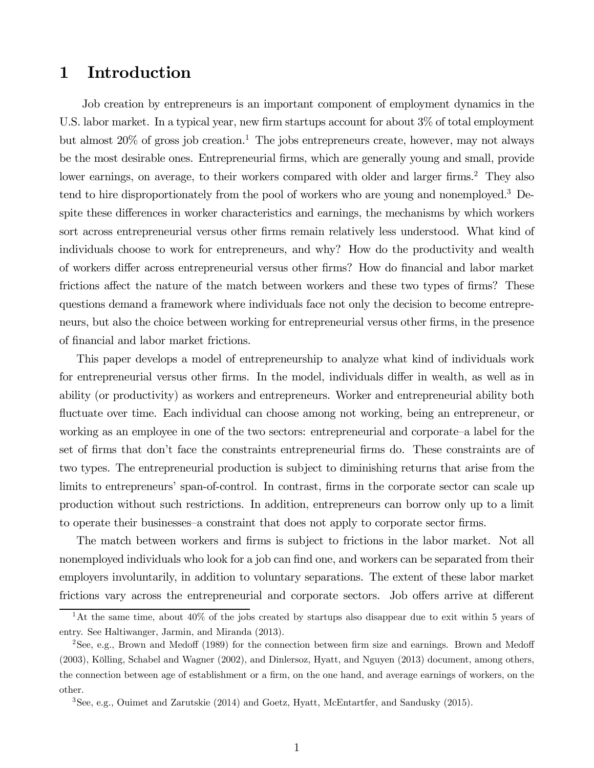## 1 Introduction

Job creation by entrepreneurs is an important component of employment dynamics in the U.S. labor market. In a typical year, new firm startups account for about 3% of total employment but almost  $20\%$  of gross job creation.<sup>1</sup> The jobs entrepreneurs create, however, may not always be the most desirable ones. Entrepreneurial firms, which are generally young and small, provide lower earnings, on average, to their workers compared with older and larger firms.<sup>2</sup> They also tend to hire disproportionately from the pool of workers who are young and nonemployed.3 Despite these differences in worker characteristics and earnings, the mechanisms by which workers sort across entrepreneurial versus other firms remain relatively less understood. What kind of individuals choose to work for entrepreneurs, and why? How do the productivity and wealth of workers differ across entrepreneurial versus other firms? How do financial and labor market frictions affect the nature of the match between workers and these two types of firms? These questions demand a framework where individuals face not only the decision to become entrepreneurs, but also the choice between working for entrepreneurial versus other firms, in the presence of financial and labor market frictions.

This paper develops a model of entrepreneurship to analyze what kind of individuals work for entrepreneurial versus other firms. In the model, individuals differ in wealth, as well as in ability (or productivity) as workers and entrepreneurs. Worker and entrepreneurial ability both fluctuate over time. Each individual can choose among not working, being an entrepreneur, or working as an employee in one of the two sectors: entrepreneurial and corporate—a label for the set of firms that don't face the constraints entrepreneurial firms do. These constraints are of two types. The entrepreneurial production is subject to diminishing returns that arise from the limits to entrepreneurs' span-of-control. In contrast, firms in the corporate sector can scale up production without such restrictions. In addition, entrepreneurs can borrow only up to a limit to operate their businesses—a constraint that does not apply to corporate sector firms.

The match between workers and firms is subject to frictions in the labor market. Not all nonemployed individuals who look for a job can find one, and workers can be separated from their employers involuntarily, in addition to voluntary separations. The extent of these labor market frictions vary across the entrepreneurial and corporate sectors. Job offers arrive at different

<sup>&</sup>lt;sup>1</sup>At the same time, about 40% of the jobs created by startups also disappear due to exit within 5 years of entry. See Haltiwanger, Jarmin, and Miranda (2013).

<sup>2</sup>See, e.g., Brown and Medoff (1989) for the connection between firm size and earnings. Brown and Medoff (2003), Kölling, Schabel and Wagner (2002), and Dinlersoz, Hyatt, and Nguyen (2013) document, among others, the connection between age of establishment or a firm, on the one hand, and average earnings of workers, on the other.

<sup>3</sup>See, e.g., Ouimet and Zarutskie (2014) and Goetz, Hyatt, McEntartfer, and Sandusky (2015).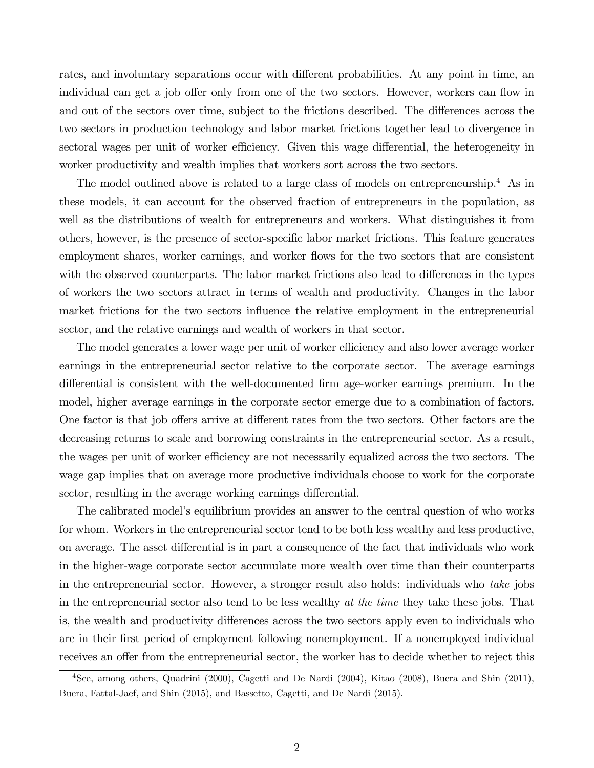rates, and involuntary separations occur with different probabilities. At any point in time, an individual can get a job offer only from one of the two sectors. However, workers can flow in and out of the sectors over time, subject to the frictions described. The differences across the two sectors in production technology and labor market frictions together lead to divergence in sectoral wages per unit of worker efficiency. Given this wage differential, the heterogeneity in worker productivity and wealth implies that workers sort across the two sectors.

The model outlined above is related to a large class of models on entrepreneurship.<sup>4</sup> As in these models, it can account for the observed fraction of entrepreneurs in the population, as well as the distributions of wealth for entrepreneurs and workers. What distinguishes it from others, however, is the presence of sector-specific labor market frictions. This feature generates employment shares, worker earnings, and worker flows for the two sectors that are consistent with the observed counterparts. The labor market frictions also lead to differences in the types of workers the two sectors attract in terms of wealth and productivity. Changes in the labor market frictions for the two sectors influence the relative employment in the entrepreneurial sector, and the relative earnings and wealth of workers in that sector.

The model generates a lower wage per unit of worker efficiency and also lower average worker earnings in the entrepreneurial sector relative to the corporate sector. The average earnings differential is consistent with the well-documented firm age-worker earnings premium. In the model, higher average earnings in the corporate sector emerge due to a combination of factors. One factor is that job offers arrive at different rates from the two sectors. Other factors are the decreasing returns to scale and borrowing constraints in the entrepreneurial sector. As a result, the wages per unit of worker efficiency are not necessarily equalized across the two sectors. The wage gap implies that on average more productive individuals choose to work for the corporate sector, resulting in the average working earnings differential.

The calibrated model's equilibrium provides an answer to the central question of who works for whom. Workers in the entrepreneurial sector tend to be both less wealthy and less productive, on average. The asset differential is in part a consequence of the fact that individuals who work in the higher-wage corporate sector accumulate more wealth over time than their counterparts in the entrepreneurial sector. However, a stronger result also holds: individuals who take jobs in the entrepreneurial sector also tend to be less wealthy at the time they take these jobs. That is, the wealth and productivity differences across the two sectors apply even to individuals who are in their first period of employment following nonemployment. If a nonemployed individual receives an offer from the entrepreneurial sector, the worker has to decide whether to reject this

<sup>4</sup>See, among others, Quadrini (2000), Cagetti and De Nardi (2004), Kitao (2008), Buera and Shin (2011), Buera, Fattal-Jaef, and Shin (2015), and Bassetto, Cagetti, and De Nardi (2015).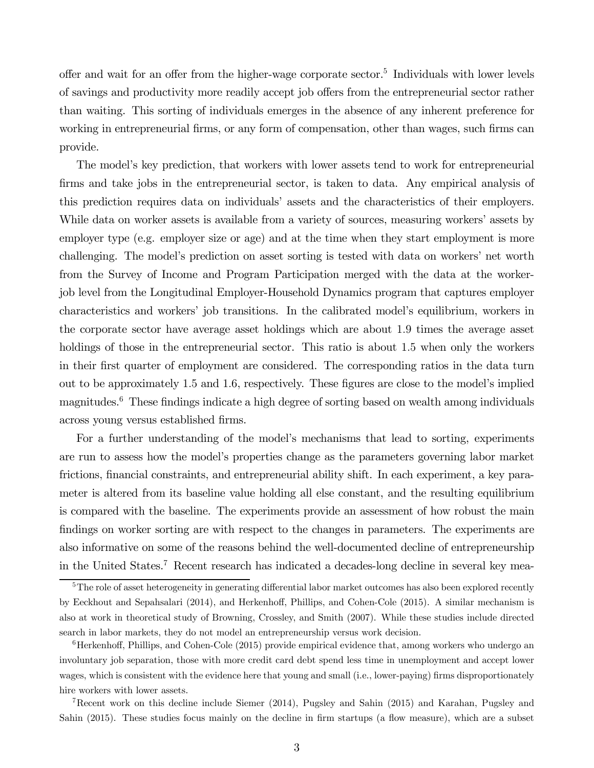offer and wait for an offer from the higher-wage corporate sector.<sup>5</sup> Individuals with lower levels of savings and productivity more readily accept job offers from the entrepreneurial sector rather than waiting. This sorting of individuals emerges in the absence of any inherent preference for working in entrepreneurial firms, or any form of compensation, other than wages, such firms can provide.

The model's key prediction, that workers with lower assets tend to work for entrepreneurial firms and take jobs in the entrepreneurial sector, is taken to data. Any empirical analysis of this prediction requires data on individuals' assets and the characteristics of their employers. While data on worker assets is available from a variety of sources, measuring workers' assets by employer type (e.g. employer size or age) and at the time when they start employment is more challenging. The model's prediction on asset sorting is tested with data on workers' net worth from the Survey of Income and Program Participation merged with the data at the workerjob level from the Longitudinal Employer-Household Dynamics program that captures employer characteristics and workers' job transitions. In the calibrated model's equilibrium, workers in the corporate sector have average asset holdings which are about 1.9 times the average asset holdings of those in the entrepreneurial sector. This ratio is about 1.5 when only the workers in their first quarter of employment are considered. The corresponding ratios in the data turn out to be approximately 1.5 and 1.6, respectively. These figures are close to the model's implied magnitudes.<sup>6</sup> These findings indicate a high degree of sorting based on wealth among individuals across young versus established firms.

For a further understanding of the model's mechanisms that lead to sorting, experiments are run to assess how the model's properties change as the parameters governing labor market frictions, financial constraints, and entrepreneurial ability shift. In each experiment, a key parameter is altered from its baseline value holding all else constant, and the resulting equilibrium is compared with the baseline. The experiments provide an assessment of how robust the main findings on worker sorting are with respect to the changes in parameters. The experiments are also informative on some of the reasons behind the well-documented decline of entrepreneurship in the United States.7 Recent research has indicated a decades-long decline in several key mea-

7Recent work on this decline include Siemer (2014), Pugsley and Sahin (2015) and Karahan, Pugsley and Sahin (2015). These studies focus mainly on the decline in firm startups (a flow measure), which are a subset

<sup>&</sup>lt;sup>5</sup>The role of asset heterogeneity in generating differential labor market outcomes has also been explored recently by Eeckhout and Sepahsalari (2014), and Herkenhoff, Phillips, and Cohen-Cole (2015). A similar mechanism is also at work in theoretical study of Browning, Crossley, and Smith (2007). While these studies include directed search in labor markets, they do not model an entrepreneurship versus work decision.

 $6$ Herkenhoff, Phillips, and Cohen-Cole (2015) provide empirical evidence that, among workers who undergo an involuntary job separation, those with more credit card debt spend less time in unemployment and accept lower wages, which is consistent with the evidence here that young and small (i.e., lower-paying) firms disproportionately hire workers with lower assets.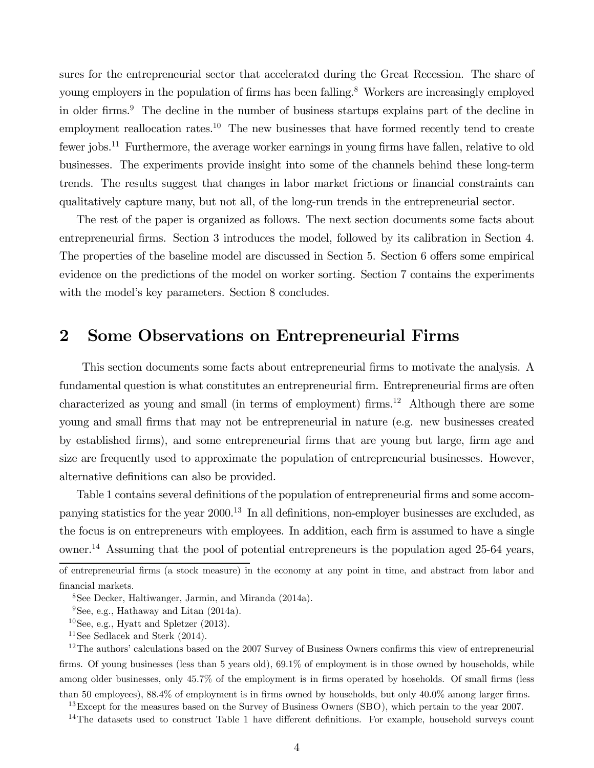sures for the entrepreneurial sector that accelerated during the Great Recession. The share of young employers in the population of firms has been falling.<sup>8</sup> Workers are increasingly employed in older firms.<sup>9</sup> The decline in the number of business startups explains part of the decline in employment reallocation rates.<sup>10</sup> The new businesses that have formed recently tend to create fewer jobs.<sup>11</sup> Furthermore, the average worker earnings in young firms have fallen, relative to old businesses. The experiments provide insight into some of the channels behind these long-term trends. The results suggest that changes in labor market frictions or financial constraints can qualitatively capture many, but not all, of the long-run trends in the entrepreneurial sector.

The rest of the paper is organized as follows. The next section documents some facts about entrepreneurial firms. Section 3 introduces the model, followed by its calibration in Section 4. The properties of the baseline model are discussed in Section 5. Section 6 offers some empirical evidence on the predictions of the model on worker sorting. Section 7 contains the experiments with the model's key parameters. Section 8 concludes.

#### 2 Some Observations on Entrepreneurial Firms

This section documents some facts about entrepreneurial firms to motivate the analysis. A fundamental question is what constitutes an entrepreneurial firm. Entrepreneurial firms are often characterized as young and small (in terms of employment) firms.<sup>12</sup> Although there are some young and small firms that may not be entrepreneurial in nature (e.g. new businesses created by established firms), and some entrepreneurial firms that are young but large, firm age and size are frequently used to approximate the population of entrepreneurial businesses. However, alternative definitions can also be provided.

Table 1 contains several definitions of the population of entrepreneurial firms and some accompanying statistics for the year 2000. <sup>13</sup> In all definitions, non-employer businesses are excluded, as the focus is on entrepreneurs with employees. In addition, each firm is assumed to have a single owner.14 Assuming that the pool of potential entrepreneurs is the population aged 25-64 years,

<sup>13</sup>Except for the measures based on the Survey of Business Owners (SBO), which pertain to the year 2007.

<sup>14</sup>The datasets used to construct Table 1 have different definitions. For example, household surveys count

of entrepreneurial firms (a stock measure) in the economy at any point in time, and abstract from labor and financial markets.

<sup>8</sup>See Decker, Haltiwanger, Jarmin, and Miranda (2014a).

 $9$ See, e.g., Hathaway and Litan  $(2014a)$ .

 $10$ See, e.g., Hyatt and Spletzer (2013).

<sup>&</sup>lt;sup>11</sup>See Sedlacek and Sterk  $(2014)$ .

<sup>&</sup>lt;sup>12</sup>The authors' calculations based on the 2007 Survey of Business Owners confirms this view of entrepreneurial firms. Of young businesses (less than 5 years old), 69.1% of employment is in those owned by households, while among older businesses, only 45.7% of the employment is in firms operated by hoseholds. Of small firms (less than 50 employees), 88.4% of employment is in firms owned by households, but only 40.0% among larger firms.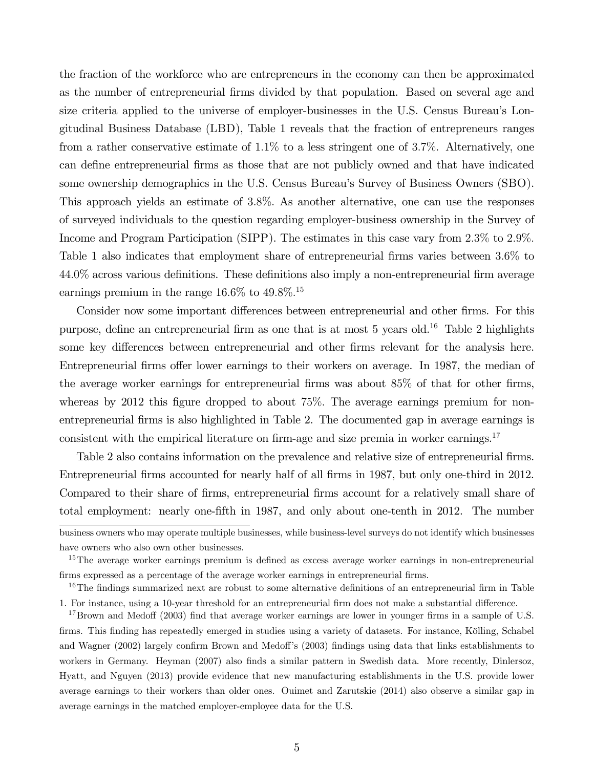the fraction of the workforce who are entrepreneurs in the economy can then be approximated as the number of entrepreneurial firms divided by that population. Based on several age and size criteria applied to the universe of employer-businesses in the U.S. Census Bureau's Longitudinal Business Database (LBD), Table 1 reveals that the fraction of entrepreneurs ranges from a rather conservative estimate of 1.1% to a less stringent one of 3.7%. Alternatively, one can define entrepreneurial firms as those that are not publicly owned and that have indicated some ownership demographics in the U.S. Census Bureau's Survey of Business Owners (SBO). This approach yields an estimate of 3.8%. As another alternative, one can use the responses of surveyed individuals to the question regarding employer-business ownership in the Survey of Income and Program Participation (SIPP). The estimates in this case vary from 2.3% to 2.9%. Table 1 also indicates that employment share of entrepreneurial firms varies between 3.6% to 44.0% across various definitions. These definitions also imply a non-entrepreneurial firm average earnings premium in the range  $16.6\%$  to  $49.8\%$ <sup>15</sup>

Consider now some important differences between entrepreneurial and other firms. For this purpose, define an entrepreneurial firm as one that is at most 5 years old.16 Table 2 highlights some key differences between entrepreneurial and other firms relevant for the analysis here. Entrepreneurial firms offer lower earnings to their workers on average. In 1987, the median of the average worker earnings for entrepreneurial firms was about 85% of that for other firms, whereas by 2012 this figure dropped to about 75%. The average earnings premium for nonentrepreneurial firms is also highlighted in Table 2. The documented gap in average earnings is consistent with the empirical literature on firm-age and size premia in worker earnings.<sup>17</sup>

Table 2 also contains information on the prevalence and relative size of entrepreneurial firms. Entrepreneurial firms accounted for nearly half of all firms in 1987, but only one-third in 2012. Compared to their share of firms, entrepreneurial firms account for a relatively small share of total employment: nearly one-fifth in 1987, and only about one-tenth in 2012. The number

business owners who may operate multiple businesses, while business-level surveys do not identify which businesses have owners who also own other businesses.

<sup>&</sup>lt;sup>15</sup>The average worker earnings premium is defined as excess average worker earnings in non-entrepreneurial firms expressed as a percentage of the average worker earnings in entrepreneurial firms.

<sup>&</sup>lt;sup>16</sup>The findings summarized next are robust to some alternative definitions of an entrepreneurial firm in Table 1. For instance, using a 10-year threshold for an entrepreneurial firm does not make a substantial difference.

<sup>&</sup>lt;sup>17</sup>Brown and Medoff (2003) find that average worker earnings are lower in younger firms in a sample of U.S. firms. This finding has repeatedly emerged in studies using a variety of datasets. For instance, Kölling, Schabel and Wagner (2002) largely confirm Brown and Medoff's (2003) findings using data that links establishments to workers in Germany. Heyman (2007) also finds a similar pattern in Swedish data. More recently, Dinlersoz, Hyatt, and Nguyen (2013) provide evidence that new manufacturing establishments in the U.S. provide lower average earnings to their workers than older ones. Ouimet and Zarutskie (2014) also observe a similar gap in average earnings in the matched employer-employee data for the U.S.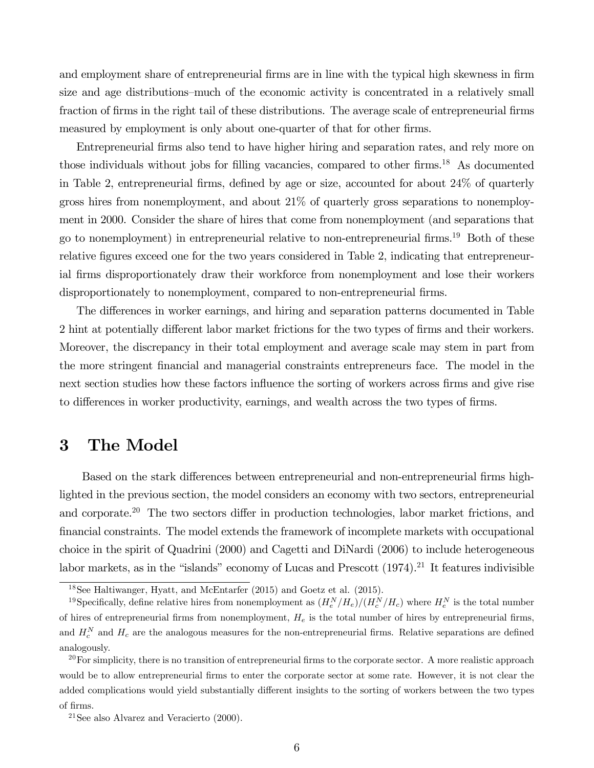and employment share of entrepreneurial firms are in line with the typical high skewness in firm size and age distributions—much of the economic activity is concentrated in a relatively small fraction of firms in the right tail of these distributions. The average scale of entrepreneurial firms measured by employment is only about one-quarter of that for other firms.

Entrepreneurial firms also tend to have higher hiring and separation rates, and rely more on those individuals without jobs for filling vacancies, compared to other firms.<sup>18</sup> As documented in Table 2, entrepreneurial firms, defined by age or size, accounted for about 24% of quarterly gross hires from nonemployment, and about 21% of quarterly gross separations to nonemployment in 2000. Consider the share of hires that come from nonemployment (and separations that go to nonemployment) in entrepreneurial relative to non-entrepreneurial firms.19 Both of these relative figures exceed one for the two years considered in Table 2, indicating that entrepreneurial firms disproportionately draw their workforce from nonemployment and lose their workers disproportionately to nonemployment, compared to non-entrepreneurial firms.

The differences in worker earnings, and hiring and separation patterns documented in Table 2 hint at potentially different labor market frictions for the two types of firms and their workers. Moreover, the discrepancy in their total employment and average scale may stem in part from the more stringent financial and managerial constraints entrepreneurs face. The model in the next section studies how these factors influence the sorting of workers across firms and give rise to differences in worker productivity, earnings, and wealth across the two types of firms.

## 3 The Model

Based on the stark differences between entrepreneurial and non-entrepreneurial firms highlighted in the previous section, the model considers an economy with two sectors, entrepreneurial and corporate.<sup>20</sup> The two sectors differ in production technologies, labor market frictions, and financial constraints. The model extends the framework of incomplete markets with occupational choice in the spirit of Quadrini (2000) and Cagetti and DiNardi (2006) to include heterogeneous labor markets, as in the "islands" economy of Lucas and Prescott  $(1974).^{21}$  It features indivisible

<sup>18</sup>See Haltiwanger, Hyatt, and McEntarfer (2015) and Goetz et al. (2015).

<sup>&</sup>lt;sup>19</sup>Specifically, define relative hires from nonemployment as  $(H_e^N/H_e)/(H_c^N/H_c)$  where  $H_e^N$  is the total number of hires of entrepreneurial firms from nonemployment,  $H_e$  is the total number of hires by entrepreneurial firms, and  $H_c^N$  and  $H_c$  are the analogous measures for the non-entrepreneurial firms. Relative separations are defined analogously.

 $20$  For simplicity, there is no transition of entrepreneurial firms to the corporate sector. A more realistic approach would be to allow entrepreneurial firms to enter the corporate sector at some rate. However, it is not clear the added complications would yield substantially different insights to the sorting of workers between the two types of firms.

 $21$ See also Alvarez and Veracierto (2000).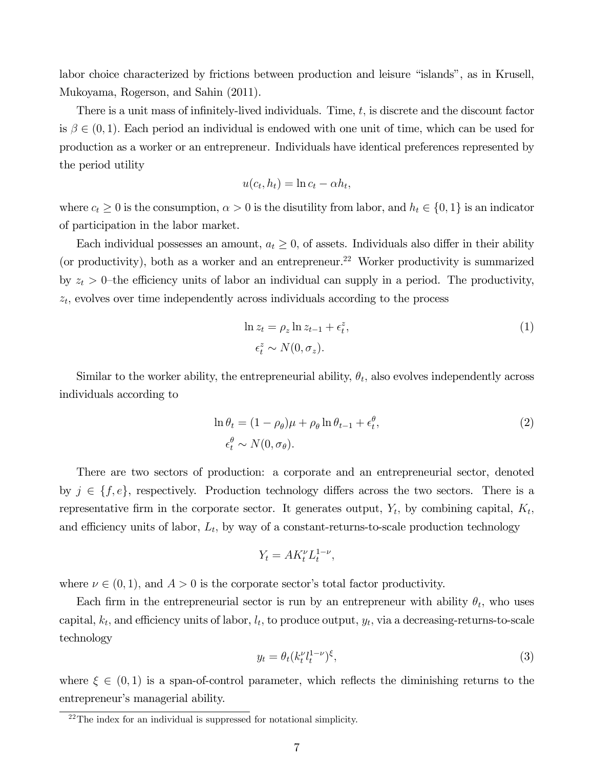labor choice characterized by frictions between production and leisure "islands", as in Krusell, Mukoyama, Rogerson, and Sahin (2011).

There is a unit mass of infinitely-lived individuals. Time, t, is discrete and the discount factor is  $\beta \in (0,1)$ . Each period an individual is endowed with one unit of time, which can be used for production as a worker or an entrepreneur. Individuals have identical preferences represented by the period utility

$$
u(c_t, h_t) = \ln c_t - \alpha h_t,
$$

where  $c_t \geq 0$  is the consumption,  $\alpha > 0$  is the disutility from labor, and  $h_t \in \{0, 1\}$  is an indicator of participation in the labor market.

Each individual possesses an amount,  $a_t \geq 0$ , of assets. Individuals also differ in their ability (or productivity), both as a worker and an entrepreneur.<sup>22</sup> Worker productivity is summarized by  $z_t > 0$ -the efficiency units of labor an individual can supply in a period. The productivity,  $z_t$ , evolves over time independently across individuals according to the process

$$
\ln z_t = \rho_z \ln z_{t-1} + \epsilon_t^z,
$$
  
\n
$$
\epsilon_t^z \sim N(0, \sigma_z).
$$
\n(1)

Similar to the worker ability, the entrepreneurial ability,  $\theta_t$ , also evolves independently across individuals according to

$$
\ln \theta_t = (1 - \rho_\theta)\mu + \rho_\theta \ln \theta_{t-1} + \epsilon_t^\theta,
$$
  
\n
$$
\epsilon_t^\theta \sim N(0, \sigma_\theta).
$$
\n(2)

There are two sectors of production: a corporate and an entrepreneurial sector, denoted by  $j \in \{f, e\}$ , respectively. Production technology differs across the two sectors. There is a representative firm in the corporate sector. It generates output,  $Y_t$ , by combining capital,  $K_t$ , and efficiency units of labor,  $L_t$ , by way of a constant-returns-to-scale production technology

$$
Y_t = AK_t^{\nu}L_t^{1-\nu},
$$

where  $\nu \in (0,1)$ , and  $A > 0$  is the corporate sector's total factor productivity.

Each firm in the entrepreneurial sector is run by an entrepreneur with ability  $\theta_t$ , who uses capital,  $k_t$ , and efficiency units of labor,  $l_t$ , to produce output,  $y_t$ , via a decreasing-returns-to-scale technology

$$
y_t = \theta_t (k_t^{\nu} l_t^{1-\nu})^{\xi},\tag{3}
$$

where  $\xi \in (0,1)$  is a span-of-control parameter, which reflects the diminishing returns to the entrepreneur's managerial ability.

<sup>22</sup>The index for an individual is suppressed for notational simplicity.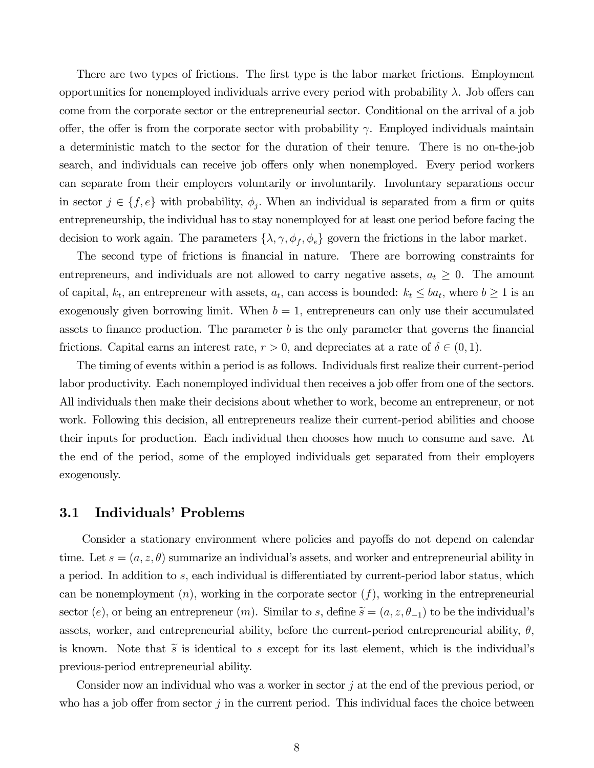There are two types of frictions. The first type is the labor market frictions. Employment opportunities for nonemployed individuals arrive every period with probability λ. Job offers can come from the corporate sector or the entrepreneurial sector. Conditional on the arrival of a job offer, the offer is from the corporate sector with probability  $\gamma$ . Employed individuals maintain a deterministic match to the sector for the duration of their tenure. There is no on-the-job search, and individuals can receive job offers only when nonemployed. Every period workers can separate from their employers voluntarily or involuntarily. Involuntary separations occur in sector  $j \in \{f, e\}$  with probability,  $\phi_i$ . When an individual is separated from a firm or quits entrepreneurship, the individual has to stay nonemployed for at least one period before facing the decision to work again. The parameters  $\{\lambda, \gamma, \phi_f, \phi_e\}$  govern the frictions in the labor market.

The second type of frictions is financial in nature. There are borrowing constraints for entrepreneurs, and individuals are not allowed to carry negative assets,  $a_t \geq 0$ . The amount of capital,  $k_t$ , an entrepreneur with assets,  $a_t$ , can access is bounded:  $k_t \le ba_t$ , where  $b \ge 1$  is an exogenously given borrowing limit. When  $b = 1$ , entrepreneurs can only use their accumulated assets to finance production. The parameter  $b$  is the only parameter that governs the financial frictions. Capital earns an interest rate,  $r > 0$ , and depreciates at a rate of  $\delta \in (0, 1)$ .

The timing of events within a period is as follows. Individuals first realize their current-period labor productivity. Each nonemployed individual then receives a job offer from one of the sectors. All individuals then make their decisions about whether to work, become an entrepreneur, or not work. Following this decision, all entrepreneurs realize their current-period abilities and choose their inputs for production. Each individual then chooses how much to consume and save. At the end of the period, some of the employed individuals get separated from their employers exogenously.

#### 3.1 Individuals' Problems

Consider a stationary environment where policies and payoffs do not depend on calendar time. Let  $s = (a, z, \theta)$  summarize an individual's assets, and worker and entrepreneurial ability in a period. In addition to s, each individual is differentiated by current-period labor status, which can be nonemployment  $(n)$ , working in the corporate sector  $(f)$ , working in the entrepreneurial sector (e), or being an entrepreneur (m). Similar to s, define  $\tilde{s} = (a, z, \theta_{-1})$  to be the individual's assets, worker, and entrepreneurial ability, before the current-period entrepreneurial ability,  $\theta$ , is known. Note that  $\tilde{s}$  is identical to s except for its last element, which is the individual's previous-period entrepreneurial ability.

Consider now an individual who was a worker in sector j at the end of the previous period, or who has a job offer from sector  $j$  in the current period. This individual faces the choice between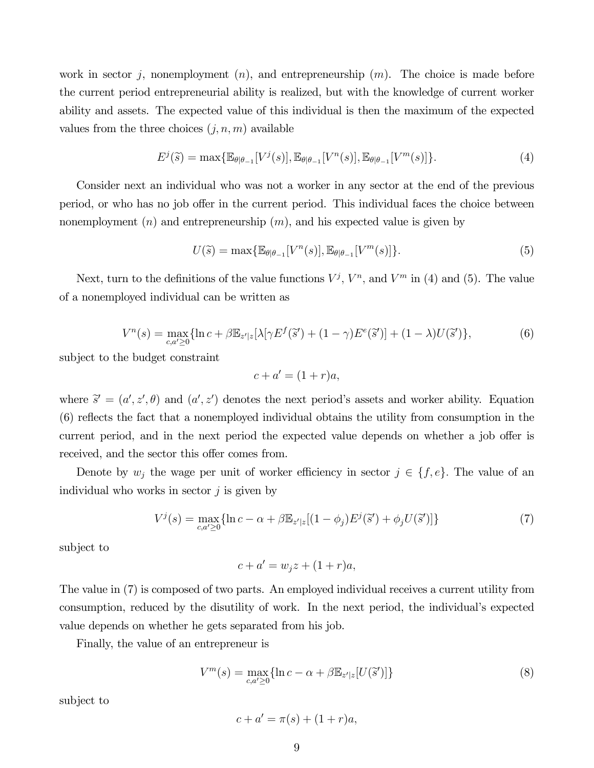work in sector j, nonemployment  $(n)$ , and entrepreneurship  $(m)$ . The choice is made before the current period entrepreneurial ability is realized, but with the knowledge of current worker ability and assets. The expected value of this individual is then the maximum of the expected values from the three choices  $(j, n, m)$  available

$$
E^j(\tilde{s}) = \max\{\mathbb{E}_{\theta|\theta-1}[V^j(s)], \mathbb{E}_{\theta|\theta-1}[V^n(s)], \mathbb{E}_{\theta|\theta-1}[V^m(s)]\}.
$$
 (4)

Consider next an individual who was not a worker in any sector at the end of the previous period, or who has no job offer in the current period. This individual faces the choice between nonemployment  $(n)$  and entrepreneurship  $(m)$ , and his expected value is given by

$$
U(\widetilde{s}) = \max\{\mathbb{E}_{\theta|\theta_{-1}}[V^n(s)], \mathbb{E}_{\theta|\theta_{-1}}[V^m(s)]\}.
$$
\n
$$
(5)
$$

Next, turn to the definitions of the value functions  $V^j$ ,  $V^n$ , and  $V^m$  in (4) and (5). The value of a nonemployed individual can be written as

$$
V^{n}(s) = \max_{c,a' \ge 0} \{ \ln c + \beta \mathbb{E}_{z'|z} [\lambda[\gamma E^{f}(\tilde{s}') + (1 - \gamma) E^{e}(\tilde{s}')] + (1 - \lambda) U(\tilde{s}') \},
$$
(6)

subject to the budget constraint

$$
c + a' = (1 + r)a,
$$

where  $\tilde{s}^{\prime} = (a^{\prime}, z^{\prime}, \theta)$  and  $(a^{\prime}, z^{\prime})$  denotes the next period's assets and worker ability. Equation (6) reflects the fact that a nonemployed individual obtains the utility from consumption in the current period, and in the next period the expected value depends on whether a job offer is received, and the sector this offer comes from.

Denote by  $w_j$  the wage per unit of worker efficiency in sector  $j \in \{f, e\}$ . The value of an individual who works in sector  $j$  is given by

$$
V^{j}(s) = \max_{c,a' \geq 0} \{ \ln c - \alpha + \beta \mathbb{E}_{z'|z} [(1 - \phi_j) E^{j}(\tilde{s}') + \phi_j U(\tilde{s}')] \}
$$
(7)

subject to

$$
c + a' = w_j z + (1 + r)a,
$$

The value in (7) is composed of two parts. An employed individual receives a current utility from consumption, reduced by the disutility of work. In the next period, the individual's expected value depends on whether he gets separated from his job.

Finally, the value of an entrepreneur is

$$
V^{m}(s) = \max_{c,a' \ge 0} \{ \ln c - \alpha + \beta \mathbb{E}_{z'|z}[U(\tilde{s}')] \}
$$
\n
$$
(8)
$$

subject to

$$
c + a' = \pi(s) + (1 + r)a,
$$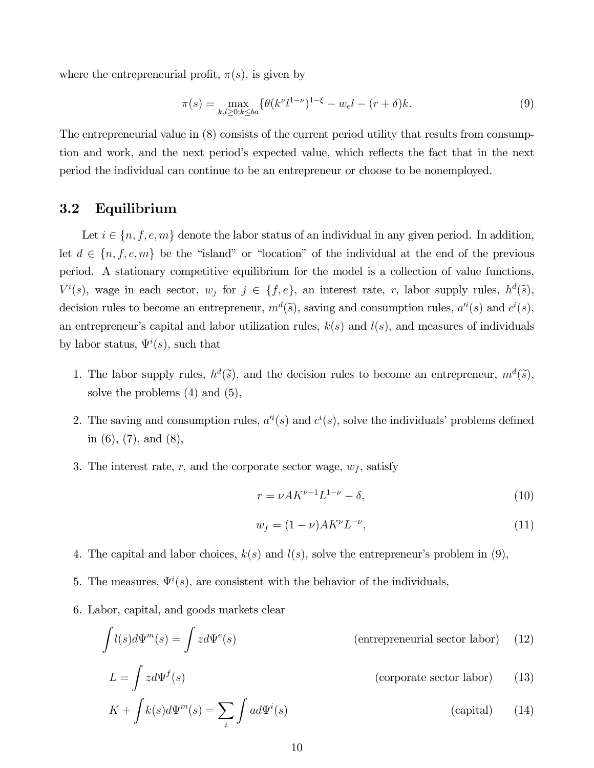where the entrepreneurial profit,  $\pi(s)$ , is given by

$$
\pi(s) = \max_{k,l \ge 0; k \le ba} \{ \theta(k^{\nu}l^{1-\nu})^{1-\xi} - w_{e}l - (r+\delta)k. \tag{9}
$$

The entrepreneurial value in (8) consists of the current period utility that results from consumption and work, and the next period's expected value, which reflects the fact that in the next period the individual can continue to be an entrepreneur or choose to be nonemployed.

#### 3.2 Equilibrium

Let  $i \in \{n, f, e, m\}$  denote the labor status of an individual in any given period. In addition, let  $d \in \{n, f, e, m\}$  be the "island" or "location" of the individual at the end of the previous period. A stationary competitive equilibrium for the model is a collection of value functions,  $V^i(s)$ , wage in each sector,  $w_j$  for  $j \in \{f, e\}$ , an interest rate, r, labor supply rules,  $h^d(\tilde{s})$ , decision rules to become an entrepreneur,  $m<sup>d</sup>(\tilde{s})$ , saving and consumption rules,  $a<sup>i</sup>(s)$  and  $c<sup>i</sup>(s)$ , an entrepreneur's capital and labor utilization rules,  $k(s)$  and  $l(s)$ , and measures of individuals by labor status,  $\Psi^i(s)$ , such that

- 1. The labor supply rules,  $h^d(\tilde{s})$ , and the decision rules to become an entrepreneur,  $m^d(\tilde{s})$ , solve the problems (4) and (5),
- 2. The saving and consumption rules,  $a^{i}(s)$  and  $c^{i}(s)$ , solve the individuals' problems defined in (6), (7), and (8),
- 3. The interest rate, r, and the corporate sector wage,  $w_f$ , satisfy

$$
r = \nu A K^{\nu - 1} L^{1 - \nu} - \delta,
$$
\n(10)

$$
w_f = (1 - \nu) A K^{\nu} L^{-\nu}, \tag{11}
$$

- 4. The capital and labor choices,  $k(s)$  and  $l(s)$ , solve the entrepreneur's problem in (9),
- 5. The measures,  $\Psi^i(s)$ , are consistent with the behavior of the individuals,
- 6. Labor, capital, and goods markets clear

$$
\int l(s)d\Psi^{m}(s) = \int zd\Psi^{e}(s)
$$
 (entrepreneurial sector labor) (12)

$$
L = \int z d\Psi^{f}(s)
$$
 (corporte sector labor) (13)  

$$
K + \int k(s) d\Psi^{m}(s) = \sum_{i} \int a d\Psi^{i}(s)
$$
 (capital) (14)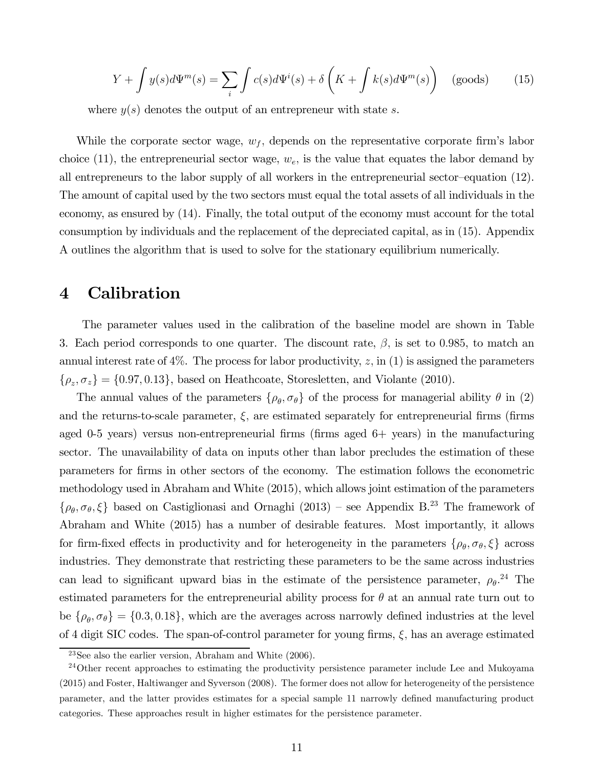$$
Y + \int y(s)d\Psi^{m}(s) = \sum_{i} \int c(s)d\Psi^{i}(s) + \delta\left(K + \int k(s)d\Psi^{m}(s)\right) \quad \text{(goods)} \tag{15}
$$

where  $y(s)$  denotes the output of an entrepreneur with state s.

While the corporate sector wage,  $w_f$ , depends on the representative corporate firm's labor choice (11), the entrepreneurial sector wage,  $w_e$ , is the value that equates the labor demand by all entrepreneurs to the labor supply of all workers in the entrepreneurial sector—equation (12). The amount of capital used by the two sectors must equal the total assets of all individuals in the economy, as ensured by (14). Finally, the total output of the economy must account for the total consumption by individuals and the replacement of the depreciated capital, as in (15). Appendix A outlines the algorithm that is used to solve for the stationary equilibrium numerically.

#### 4 Calibration

The parameter values used in the calibration of the baseline model are shown in Table 3. Each period corresponds to one quarter. The discount rate,  $\beta$ , is set to 0.985, to match an annual interest rate of  $4\%$ . The process for labor productivity, z, in (1) is assigned the parameters  $\{\rho_z, \sigma_z\} = \{0.97, 0.13\}$ , based on Heathcoate, Storesletten, and Violante (2010).

The annual values of the parameters  $\{\rho_{\theta}, \sigma_{\theta}\}$  of the process for managerial ability  $\theta$  in (2) and the returns-to-scale parameter,  $\xi$ , are estimated separately for entrepreneurial firms (firms aged 0-5 years) versus non-entrepreneurial firms (firms aged 6+ years) in the manufacturing sector. The unavailability of data on inputs other than labor precludes the estimation of these parameters for firms in other sectors of the economy. The estimation follows the econometric methodology used in Abraham and White (2015), which allows joint estimation of the parameters  $\{\rho_\theta, \sigma_\theta, \xi\}$  based on Castiglionasi and Ornaghi (2013) – see Appendix B.<sup>23</sup> The framework of Abraham and White (2015) has a number of desirable features. Most importantly, it allows for firm-fixed effects in productivity and for heterogeneity in the parameters  $\{\rho_{\theta}, \sigma_{\theta}, \xi\}$  across industries. They demonstrate that restricting these parameters to be the same across industries can lead to significant upward bias in the estimate of the persistence parameter,  $\rho_{\theta}^{24}$ . The estimated parameters for the entrepreneurial ability process for  $\theta$  at an annual rate turn out to be  $\{\rho_{\theta}, \sigma_{\theta}\} = \{0.3, 0.18\}$ , which are the averages across narrowly defined industries at the level of 4 digit SIC codes. The span-of-control parameter for young firms,  $\xi$ , has an average estimated

<sup>&</sup>lt;sup>23</sup>See also the earlier version, Abraham and White  $(2006)$ .

<sup>&</sup>lt;sup>24</sup>Other recent approaches to estimating the productivity persistence parameter include Lee and Mukoyama (2015) and Foster, Haltiwanger and Syverson (2008). The former does not allow for heterogeneity of the persistence parameter, and the latter provides estimates for a special sample 11 narrowly defined manufacturing product categories. These approaches result in higher estimates for the persistence parameter.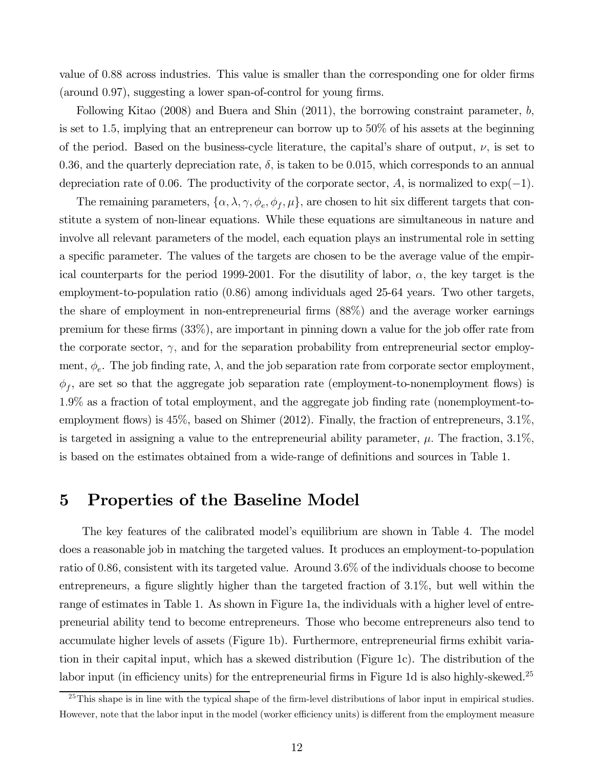value of 0.88 across industries. This value is smaller than the corresponding one for older firms (around 0.97), suggesting a lower span-of-control for young firms.

Following Kitao (2008) and Buera and Shin (2011), the borrowing constraint parameter,  $b$ , is set to 1.5, implying that an entrepreneur can borrow up to 50% of his assets at the beginning of the period. Based on the business-cycle literature, the capital's share of output,  $\nu$ , is set to 0.36, and the quarterly depreciation rate,  $\delta$ , is taken to be 0.015, which corresponds to an annual depreciation rate of 0.06. The productivity of the corporate sector, A, is normalized to  $\exp(-1)$ .

The remaining parameters,  $\{\alpha, \lambda, \gamma, \phi_e, \phi_f, \mu\}$ , are chosen to hit six different targets that constitute a system of non-linear equations. While these equations are simultaneous in nature and involve all relevant parameters of the model, each equation plays an instrumental role in setting a specific parameter. The values of the targets are chosen to be the average value of the empirical counterparts for the period 1999-2001. For the disutility of labor,  $\alpha$ , the key target is the employment-to-population ratio (0.86) among individuals aged 25-64 years. Two other targets, the share of employment in non-entrepreneurial firms (88%) and the average worker earnings premium for these firms (33%), are important in pinning down a value for the job offer rate from the corporate sector,  $\gamma$ , and for the separation probability from entrepreneurial sector employment,  $\phi_e$ . The job finding rate,  $\lambda$ , and the job separation rate from corporate sector employment,  $\phi_f$ , are set so that the aggregate job separation rate (employment-to-nonemployment flows) is 1.9% as a fraction of total employment, and the aggregate job finding rate (nonemployment-toemployment flows) is 45%, based on Shimer (2012). Finally, the fraction of entrepreneurs, 3.1%, is targeted in assigning a value to the entrepreneurial ability parameter,  $\mu$ . The fraction, 3.1%, is based on the estimates obtained from a wide-range of definitions and sources in Table 1.

#### 5 Properties of the Baseline Model

The key features of the calibrated model's equilibrium are shown in Table 4. The model does a reasonable job in matching the targeted values. It produces an employment-to-population ratio of 0.86, consistent with its targeted value. Around 3.6% of the individuals choose to become entrepreneurs, a figure slightly higher than the targeted fraction of 3.1%, but well within the range of estimates in Table 1. As shown in Figure 1a, the individuals with a higher level of entrepreneurial ability tend to become entrepreneurs. Those who become entrepreneurs also tend to accumulate higher levels of assets (Figure 1b). Furthermore, entrepreneurial firms exhibit variation in their capital input, which has a skewed distribution (Figure 1c). The distribution of the labor input (in efficiency units) for the entrepreneurial firms in Figure 1d is also highly-skewed.<sup>25</sup>

 $25$ This shape is in line with the typical shape of the firm-level distributions of labor input in empirical studies. However, note that the labor input in the model (worker efficiency units) is different from the employment measure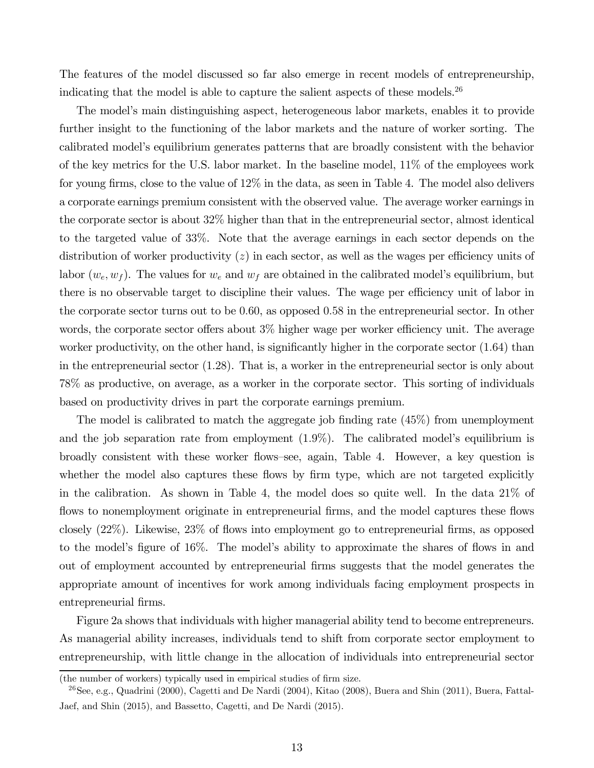The features of the model discussed so far also emerge in recent models of entrepreneurship, indicating that the model is able to capture the salient aspects of these models.<sup>26</sup>

The model's main distinguishing aspect, heterogeneous labor markets, enables it to provide further insight to the functioning of the labor markets and the nature of worker sorting. The calibrated model's equilibrium generates patterns that are broadly consistent with the behavior of the key metrics for the U.S. labor market. In the baseline model, 11% of the employees work for young firms, close to the value of 12% in the data, as seen in Table 4. The model also delivers a corporate earnings premium consistent with the observed value. The average worker earnings in the corporate sector is about 32% higher than that in the entrepreneurial sector, almost identical to the targeted value of 33%. Note that the average earnings in each sector depends on the distribution of worker productivity  $(z)$  in each sector, as well as the wages per efficiency units of labor  $(w_e, w_f)$ . The values for  $w_e$  and  $w_f$  are obtained in the calibrated model's equilibrium, but there is no observable target to discipline their values. The wage per efficiency unit of labor in the corporate sector turns out to be 0.60, as opposed 0.58 in the entrepreneurial sector. In other words, the corporate sector offers about 3% higher wage per worker efficiency unit. The average worker productivity, on the other hand, is significantly higher in the corporate sector  $(1.64)$  than in the entrepreneurial sector (1.28). That is, a worker in the entrepreneurial sector is only about 78% as productive, on average, as a worker in the corporate sector. This sorting of individuals based on productivity drives in part the corporate earnings premium.

The model is calibrated to match the aggregate job finding rate (45%) from unemployment and the job separation rate from employment (1.9%). The calibrated model's equilibrium is broadly consistent with these worker flows—see, again, Table 4. However, a key question is whether the model also captures these flows by firm type, which are not targeted explicitly in the calibration. As shown in Table 4, the model does so quite well. In the data 21% of flows to nonemployment originate in entrepreneurial firms, and the model captures these flows closely (22%). Likewise, 23% of flows into employment go to entrepreneurial firms, as opposed to the model's figure of 16%. The model's ability to approximate the shares of flows in and out of employment accounted by entrepreneurial firms suggests that the model generates the appropriate amount of incentives for work among individuals facing employment prospects in entrepreneurial firms.

Figure 2a shows that individuals with higher managerial ability tend to become entrepreneurs. As managerial ability increases, individuals tend to shift from corporate sector employment to entrepreneurship, with little change in the allocation of individuals into entrepreneurial sector

<sup>(</sup>the number of workers) typically used in empirical studies of firm size.

<sup>&</sup>lt;sup>26</sup>See, e.g., Quadrini (2000), Cagetti and De Nardi (2004), Kitao (2008), Buera and Shin (2011), Buera, Fattal-Jaef, and Shin (2015), and Bassetto, Cagetti, and De Nardi (2015).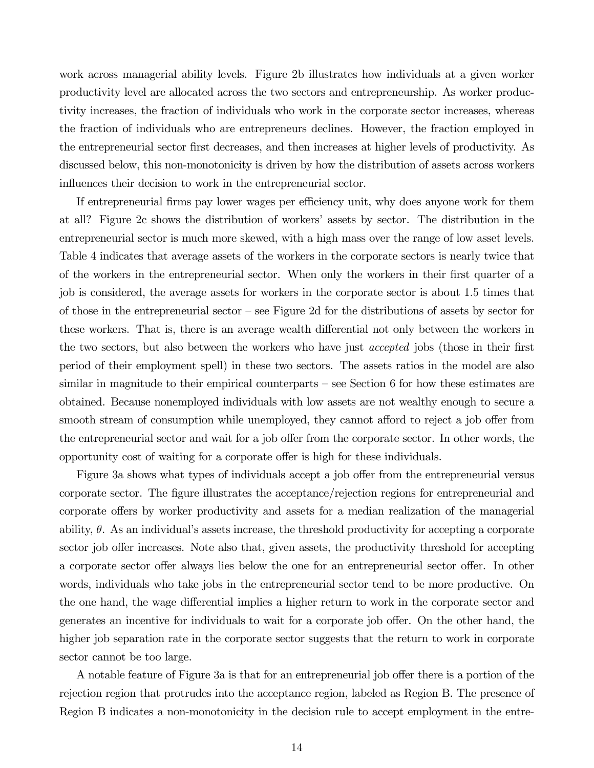work across managerial ability levels. Figure 2b illustrates how individuals at a given worker productivity level are allocated across the two sectors and entrepreneurship. As worker productivity increases, the fraction of individuals who work in the corporate sector increases, whereas the fraction of individuals who are entrepreneurs declines. However, the fraction employed in the entrepreneurial sector first decreases, and then increases at higher levels of productivity. As discussed below, this non-monotonicity is driven by how the distribution of assets across workers influences their decision to work in the entrepreneurial sector.

If entrepreneurial firms pay lower wages per efficiency unit, why does anyone work for them at all? Figure 2c shows the distribution of workers' assets by sector. The distribution in the entrepreneurial sector is much more skewed, with a high mass over the range of low asset levels. Table 4 indicates that average assets of the workers in the corporate sectors is nearly twice that of the workers in the entrepreneurial sector. When only the workers in their first quarter of a job is considered, the average assets for workers in the corporate sector is about 1.5 times that of those in the entrepreneurial sector — see Figure 2d for the distributions of assets by sector for these workers. That is, there is an average wealth differential not only between the workers in the two sectors, but also between the workers who have just accepted jobs (those in their first period of their employment spell) in these two sectors. The assets ratios in the model are also similar in magnitude to their empirical counterparts — see Section 6 for how these estimates are obtained. Because nonemployed individuals with low assets are not wealthy enough to secure a smooth stream of consumption while unemployed, they cannot afford to reject a job offer from the entrepreneurial sector and wait for a job offer from the corporate sector. In other words, the opportunity cost of waiting for a corporate offer is high for these individuals.

Figure 3a shows what types of individuals accept a job offer from the entrepreneurial versus corporate sector. The figure illustrates the acceptance/rejection regions for entrepreneurial and corporate offers by worker productivity and assets for a median realization of the managerial ability,  $\theta$ . As an individual's assets increase, the threshold productivity for accepting a corporate sector job offer increases. Note also that, given assets, the productivity threshold for accepting a corporate sector offer always lies below the one for an entrepreneurial sector offer. In other words, individuals who take jobs in the entrepreneurial sector tend to be more productive. On the one hand, the wage differential implies a higher return to work in the corporate sector and generates an incentive for individuals to wait for a corporate job offer. On the other hand, the higher job separation rate in the corporate sector suggests that the return to work in corporate sector cannot be too large.

A notable feature of Figure 3a is that for an entrepreneurial job offer there is a portion of the rejection region that protrudes into the acceptance region, labeled as Region B. The presence of Region B indicates a non-monotonicity in the decision rule to accept employment in the entre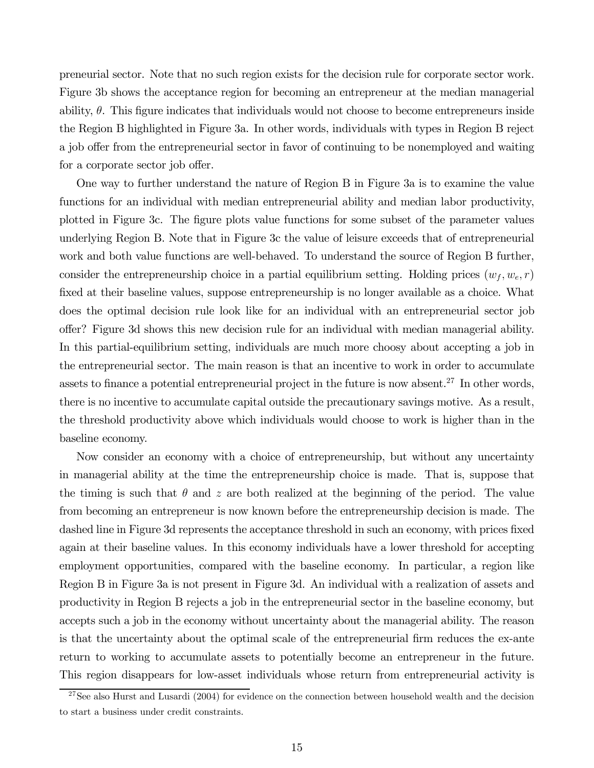preneurial sector. Note that no such region exists for the decision rule for corporate sector work. Figure 3b shows the acceptance region for becoming an entrepreneur at the median managerial ability,  $\theta$ . This figure indicates that individuals would not choose to become entrepreneurs inside the Region B highlighted in Figure 3a. In other words, individuals with types in Region B reject a job offer from the entrepreneurial sector in favor of continuing to be nonemployed and waiting for a corporate sector job offer.

One way to further understand the nature of Region B in Figure 3a is to examine the value functions for an individual with median entrepreneurial ability and median labor productivity, plotted in Figure 3c. The figure plots value functions for some subset of the parameter values underlying Region B. Note that in Figure 3c the value of leisure exceeds that of entrepreneurial work and both value functions are well-behaved. To understand the source of Region B further, consider the entrepreneurship choice in a partial equilibrium setting. Holding prices  $(w_f, w_e, r)$ fixed at their baseline values, suppose entrepreneurship is no longer available as a choice. What does the optimal decision rule look like for an individual with an entrepreneurial sector job offer? Figure 3d shows this new decision rule for an individual with median managerial ability. In this partial-equilibrium setting, individuals are much more choosy about accepting a job in the entrepreneurial sector. The main reason is that an incentive to work in order to accumulate assets to finance a potential entrepreneurial project in the future is now absent.<sup>27</sup> In other words, there is no incentive to accumulate capital outside the precautionary savings motive. As a result, the threshold productivity above which individuals would choose to work is higher than in the baseline economy.

Now consider an economy with a choice of entrepreneurship, but without any uncertainty in managerial ability at the time the entrepreneurship choice is made. That is, suppose that the timing is such that  $\theta$  and z are both realized at the beginning of the period. The value from becoming an entrepreneur is now known before the entrepreneurship decision is made. The dashed line in Figure 3d represents the acceptance threshold in such an economy, with prices fixed again at their baseline values. In this economy individuals have a lower threshold for accepting employment opportunities, compared with the baseline economy. In particular, a region like Region B in Figure 3a is not present in Figure 3d. An individual with a realization of assets and productivity in Region B rejects a job in the entrepreneurial sector in the baseline economy, but accepts such a job in the economy without uncertainty about the managerial ability. The reason is that the uncertainty about the optimal scale of the entrepreneurial firm reduces the ex-ante return to working to accumulate assets to potentially become an entrepreneur in the future. This region disappears for low-asset individuals whose return from entrepreneurial activity is

 $^{27}$ See also Hurst and Lusardi (2004) for evidence on the connection between household wealth and the decision to start a business under credit constraints.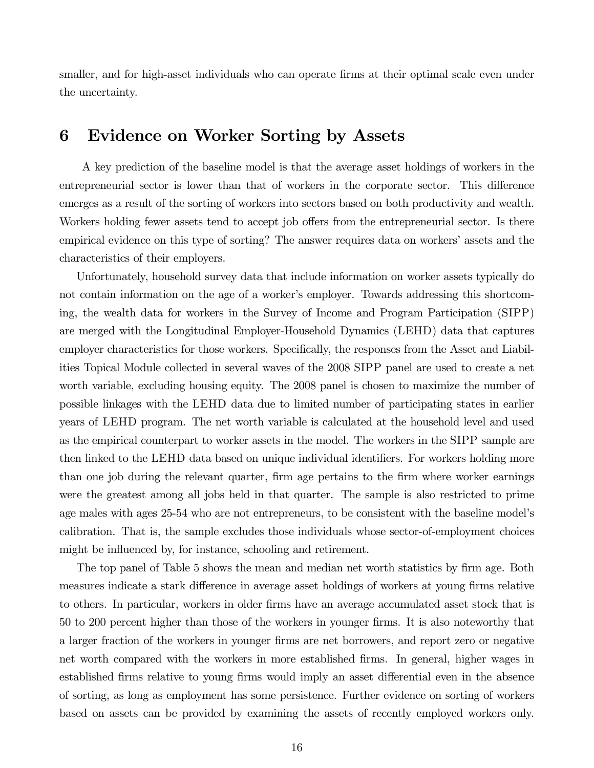smaller, and for high-asset individuals who can operate firms at their optimal scale even under the uncertainty.

## 6 Evidence on Worker Sorting by Assets

A key prediction of the baseline model is that the average asset holdings of workers in the entrepreneurial sector is lower than that of workers in the corporate sector. This difference emerges as a result of the sorting of workers into sectors based on both productivity and wealth. Workers holding fewer assets tend to accept job offers from the entrepreneurial sector. Is there empirical evidence on this type of sorting? The answer requires data on workers' assets and the characteristics of their employers.

Unfortunately, household survey data that include information on worker assets typically do not contain information on the age of a worker's employer. Towards addressing this shortcoming, the wealth data for workers in the Survey of Income and Program Participation (SIPP) are merged with the Longitudinal Employer-Household Dynamics (LEHD) data that captures employer characteristics for those workers. Specifically, the responses from the Asset and Liabilities Topical Module collected in several waves of the 2008 SIPP panel are used to create a net worth variable, excluding housing equity. The 2008 panel is chosen to maximize the number of possible linkages with the LEHD data due to limited number of participating states in earlier years of LEHD program. The net worth variable is calculated at the household level and used as the empirical counterpart to worker assets in the model. The workers in the SIPP sample are then linked to the LEHD data based on unique individual identifiers. For workers holding more than one job during the relevant quarter, firm age pertains to the firm where worker earnings were the greatest among all jobs held in that quarter. The sample is also restricted to prime age males with ages 25-54 who are not entrepreneurs, to be consistent with the baseline model's calibration. That is, the sample excludes those individuals whose sector-of-employment choices might be influenced by, for instance, schooling and retirement.

The top panel of Table 5 shows the mean and median net worth statistics by firm age. Both measures indicate a stark difference in average asset holdings of workers at young firms relative to others. In particular, workers in older firms have an average accumulated asset stock that is 50 to 200 percent higher than those of the workers in younger firms. It is also noteworthy that a larger fraction of the workers in younger firms are net borrowers, and report zero or negative net worth compared with the workers in more established firms. In general, higher wages in established firms relative to young firms would imply an asset differential even in the absence of sorting, as long as employment has some persistence. Further evidence on sorting of workers based on assets can be provided by examining the assets of recently employed workers only.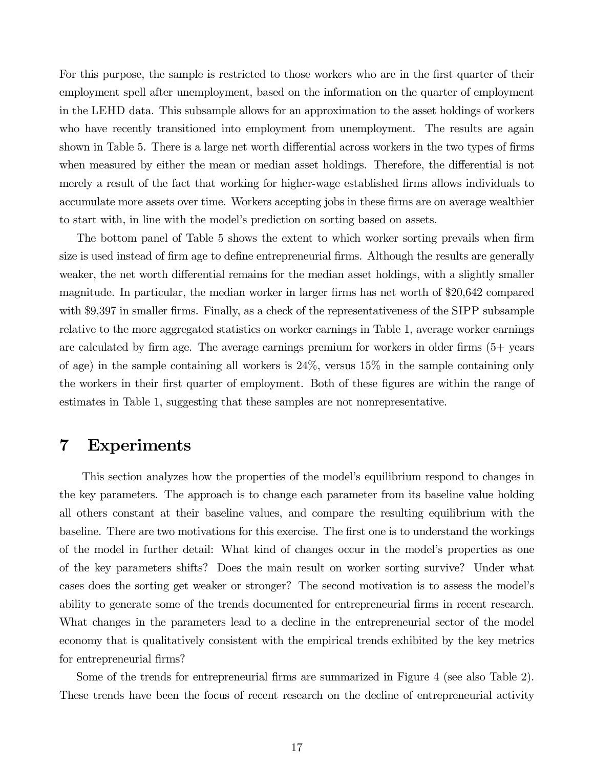For this purpose, the sample is restricted to those workers who are in the first quarter of their employment spell after unemployment, based on the information on the quarter of employment in the LEHD data. This subsample allows for an approximation to the asset holdings of workers who have recently transitioned into employment from unemployment. The results are again shown in Table 5. There is a large net worth differential across workers in the two types of firms when measured by either the mean or median asset holdings. Therefore, the differential is not merely a result of the fact that working for higher-wage established firms allows individuals to accumulate more assets over time. Workers accepting jobs in these firms are on average wealthier to start with, in line with the model's prediction on sorting based on assets.

The bottom panel of Table 5 shows the extent to which worker sorting prevails when firm size is used instead of firm age to define entrepreneurial firms. Although the results are generally weaker, the net worth differential remains for the median asset holdings, with a slightly smaller magnitude. In particular, the median worker in larger firms has net worth of \$20,642 compared with \$9,397 in smaller firms. Finally, as a check of the representativeness of the SIPP subsample relative to the more aggregated statistics on worker earnings in Table 1, average worker earnings are calculated by firm age. The average earnings premium for workers in older firms (5+ years of age) in the sample containing all workers is 24%, versus 15% in the sample containing only the workers in their first quarter of employment. Both of these figures are within the range of estimates in Table 1, suggesting that these samples are not nonrepresentative.

#### 7 Experiments

This section analyzes how the properties of the model's equilibrium respond to changes in the key parameters. The approach is to change each parameter from its baseline value holding all others constant at their baseline values, and compare the resulting equilibrium with the baseline. There are two motivations for this exercise. The first one is to understand the workings of the model in further detail: What kind of changes occur in the model's properties as one of the key parameters shifts? Does the main result on worker sorting survive? Under what cases does the sorting get weaker or stronger? The second motivation is to assess the model's ability to generate some of the trends documented for entrepreneurial firms in recent research. What changes in the parameters lead to a decline in the entrepreneurial sector of the model economy that is qualitatively consistent with the empirical trends exhibited by the key metrics for entrepreneurial firms?

Some of the trends for entrepreneurial firms are summarized in Figure 4 (see also Table 2). These trends have been the focus of recent research on the decline of entrepreneurial activity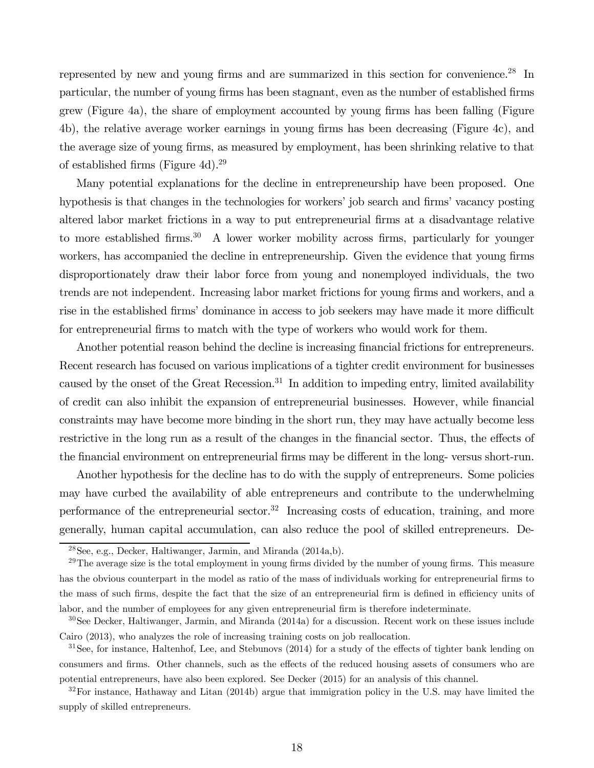represented by new and young firms and are summarized in this section for convenience.28 In particular, the number of young firms has been stagnant, even as the number of established firms grew (Figure 4a), the share of employment accounted by young firms has been falling (Figure 4b), the relative average worker earnings in young firms has been decreasing (Figure 4c), and the average size of young firms, as measured by employment, has been shrinking relative to that of established firms (Figure 4d).29

Many potential explanations for the decline in entrepreneurship have been proposed. One hypothesis is that changes in the technologies for workers' job search and firms' vacancy posting altered labor market frictions in a way to put entrepreneurial firms at a disadvantage relative to more established firms.<sup>30</sup> A lower worker mobility across firms, particularly for younger workers, has accompanied the decline in entrepreneurship. Given the evidence that young firms disproportionately draw their labor force from young and nonemployed individuals, the two trends are not independent. Increasing labor market frictions for young firms and workers, and a rise in the established firms' dominance in access to job seekers may have made it more difficult for entrepreneurial firms to match with the type of workers who would work for them.

Another potential reason behind the decline is increasing financial frictions for entrepreneurs. Recent research has focused on various implications of a tighter credit environment for businesses caused by the onset of the Great Recession.<sup>31</sup> In addition to impeding entry, limited availability of credit can also inhibit the expansion of entrepreneurial businesses. However, while financial constraints may have become more binding in the short run, they may have actually become less restrictive in the long run as a result of the changes in the financial sector. Thus, the effects of the financial environment on entrepreneurial firms may be different in the long- versus short-run.

Another hypothesis for the decline has to do with the supply of entrepreneurs. Some policies may have curbed the availability of able entrepreneurs and contribute to the underwhelming performance of the entrepreneurial sector.<sup>32</sup> Increasing costs of education, training, and more generally, human capital accumulation, can also reduce the pool of skilled entrepreneurs. De-

<sup>28</sup>See, e.g., Decker, Haltiwanger, Jarmin, and Miranda (2014a,b).

 $29$ The average size is the total employment in young firms divided by the number of young firms. This measure has the obvious counterpart in the model as ratio of the mass of individuals working for entrepreneurial firms to the mass of such firms, despite the fact that the size of an entrepreneurial firm is defined in efficiency units of labor, and the number of employees for any given entrepreneurial firm is therefore indeterminate.

<sup>30</sup>See Decker, Haltiwanger, Jarmin, and Miranda (2014a) for a discussion. Recent work on these issues include Cairo (2013), who analyzes the role of increasing training costs on job reallocation.

<sup>&</sup>lt;sup>31</sup>See, for instance, Haltenhof, Lee, and Stebunovs (2014) for a study of the effects of tighter bank lending on consumers and firms. Other channels, such as the effects of the reduced housing assets of consumers who are potential entrepreneurs, have also been explored. See Decker (2015) for an analysis of this channel.

 $32^3$ For instance, Hathaway and Litan (2014b) argue that immigration policy in the U.S. may have limited the supply of skilled entrepreneurs.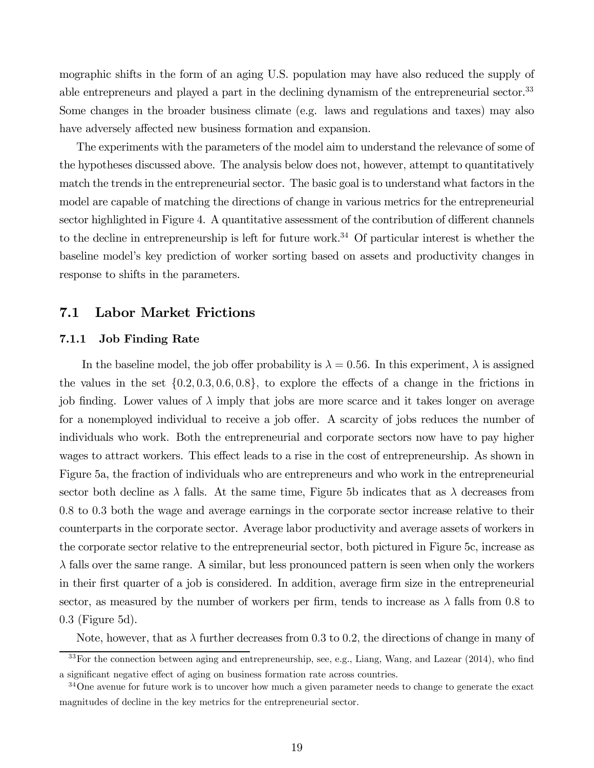mographic shifts in the form of an aging U.S. population may have also reduced the supply of able entrepreneurs and played a part in the declining dynamism of the entrepreneurial sector.<sup>33</sup> Some changes in the broader business climate (e.g. laws and regulations and taxes) may also have adversely affected new business formation and expansion.

The experiments with the parameters of the model aim to understand the relevance of some of the hypotheses discussed above. The analysis below does not, however, attempt to quantitatively match the trends in the entrepreneurial sector. The basic goal is to understand what factors in the model are capable of matching the directions of change in various metrics for the entrepreneurial sector highlighted in Figure 4. A quantitative assessment of the contribution of different channels to the decline in entrepreneurship is left for future work.<sup>34</sup> Of particular interest is whether the baseline model's key prediction of worker sorting based on assets and productivity changes in response to shifts in the parameters.

#### 7.1 Labor Market Frictions

#### 7.1.1 Job Finding Rate

In the baseline model, the job offer probability is  $\lambda = 0.56$ . In this experiment,  $\lambda$  is assigned the values in the set  $\{0.2, 0.3, 0.6, 0.8\}$ , to explore the effects of a change in the frictions in job finding. Lower values of  $\lambda$  imply that jobs are more scarce and it takes longer on average for a nonemployed individual to receive a job offer. A scarcity of jobs reduces the number of individuals who work. Both the entrepreneurial and corporate sectors now have to pay higher wages to attract workers. This effect leads to a rise in the cost of entrepreneurship. As shown in Figure 5a, the fraction of individuals who are entrepreneurs and who work in the entrepreneurial sector both decline as  $\lambda$  falls. At the same time, Figure 5b indicates that as  $\lambda$  decreases from 0.8 to 0.3 both the wage and average earnings in the corporate sector increase relative to their counterparts in the corporate sector. Average labor productivity and average assets of workers in the corporate sector relative to the entrepreneurial sector, both pictured in Figure 5c, increase as  $\lambda$  falls over the same range. A similar, but less pronounced pattern is seen when only the workers in their first quarter of a job is considered. In addition, average firm size in the entrepreneurial sector, as measured by the number of workers per firm, tends to increase as  $\lambda$  falls from 0.8 to 0.3 (Figure 5d).

Note, however, that as  $\lambda$  further decreases from 0.3 to 0.2, the directions of change in many of

<sup>&</sup>lt;sup>33</sup>For the connection between aging and entrepreneurship, see, e.g., Liang, Wang, and Lazear (2014), who find a significant negative effect of aging on business formation rate across countries.

<sup>&</sup>lt;sup>34</sup>One avenue for future work is to uncover how much a given parameter needs to change to generate the exact magnitudes of decline in the key metrics for the entrepreneurial sector.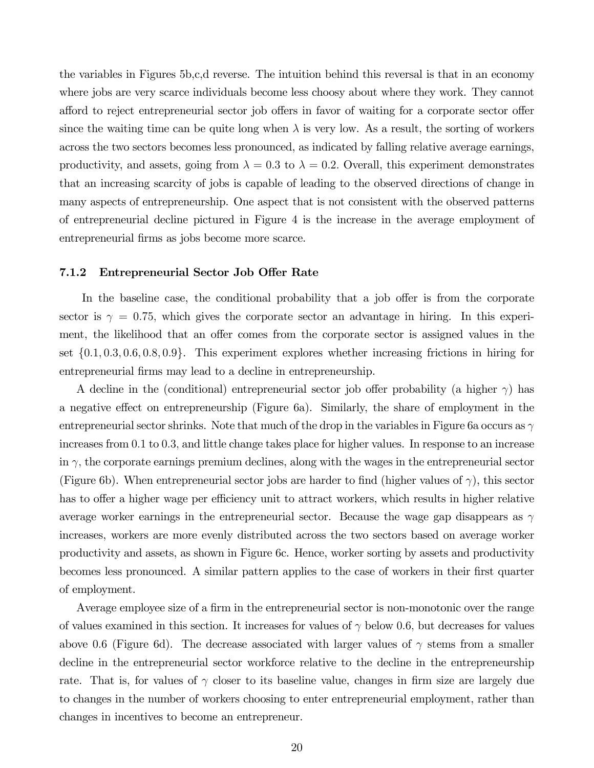the variables in Figures 5b,c,d reverse. The intuition behind this reversal is that in an economy where jobs are very scarce individuals become less choosy about where they work. They cannot afford to reject entrepreneurial sector job offers in favor of waiting for a corporate sector offer since the waiting time can be quite long when  $\lambda$  is very low. As a result, the sorting of workers across the two sectors becomes less pronounced, as indicated by falling relative average earnings, productivity, and assets, going from  $\lambda = 0.3$  to  $\lambda = 0.2$ . Overall, this experiment demonstrates that an increasing scarcity of jobs is capable of leading to the observed directions of change in many aspects of entrepreneurship. One aspect that is not consistent with the observed patterns of entrepreneurial decline pictured in Figure 4 is the increase in the average employment of entrepreneurial firms as jobs become more scarce.

#### 7.1.2 Entrepreneurial Sector Job Offer Rate

In the baseline case, the conditional probability that a job offer is from the corporate sector is  $\gamma = 0.75$ , which gives the corporate sector an advantage in hiring. In this experiment, the likelihood that an offer comes from the corporate sector is assigned values in the set {0.1, 0.3, 0.6, 0.8, 0.9}. This experiment explores whether increasing frictions in hiring for entrepreneurial firms may lead to a decline in entrepreneurship.

A decline in the (conditional) entrepreneurial sector job offer probability (a higher  $\gamma$ ) has a negative effect on entrepreneurship (Figure 6a). Similarly, the share of employment in the entrepreneurial sector shrinks. Note that much of the drop in the variables in Figure 6a occurs as  $\gamma$ increases from 0.1 to 0.3, and little change takes place for higher values. In response to an increase in  $\gamma$ , the corporate earnings premium declines, along with the wages in the entrepreneurial sector (Figure 6b). When entrepreneurial sector jobs are harder to find (higher values of  $\gamma$ ), this sector has to offer a higher wage per efficiency unit to attract workers, which results in higher relative average worker earnings in the entrepreneurial sector. Because the wage gap disappears as  $\gamma$ increases, workers are more evenly distributed across the two sectors based on average worker productivity and assets, as shown in Figure 6c. Hence, worker sorting by assets and productivity becomes less pronounced. A similar pattern applies to the case of workers in their first quarter of employment.

Average employee size of a firm in the entrepreneurial sector is non-monotonic over the range of values examined in this section. It increases for values of  $\gamma$  below 0.6, but decreases for values above 0.6 (Figure 6d). The decrease associated with larger values of  $\gamma$  stems from a smaller decline in the entrepreneurial sector workforce relative to the decline in the entrepreneurship rate. That is, for values of  $\gamma$  closer to its baseline value, changes in firm size are largely due to changes in the number of workers choosing to enter entrepreneurial employment, rather than changes in incentives to become an entrepreneur.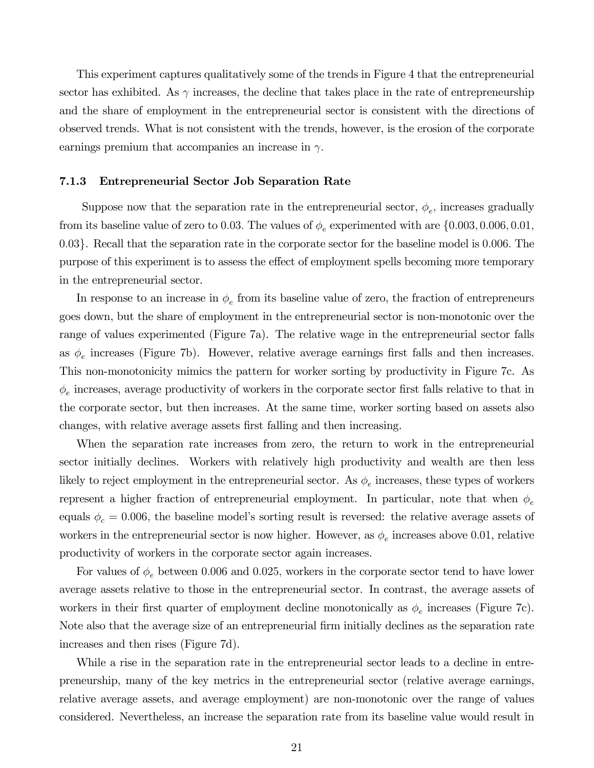This experiment captures qualitatively some of the trends in Figure 4 that the entrepreneurial sector has exhibited. As  $\gamma$  increases, the decline that takes place in the rate of entrepreneurship and the share of employment in the entrepreneurial sector is consistent with the directions of observed trends. What is not consistent with the trends, however, is the erosion of the corporate earnings premium that accompanies an increase in  $\gamma$ .

#### 7.1.3 Entrepreneurial Sector Job Separation Rate

Suppose now that the separation rate in the entrepreneurial sector,  $\phi_e$ , increases gradually from its baseline value of zero to 0.03. The values of  $\phi_e$  experimented with are  $\{0.003, 0.006, 0.01,$ 0.03}. Recall that the separation rate in the corporate sector for the baseline model is 0.006. The purpose of this experiment is to assess the effect of employment spells becoming more temporary in the entrepreneurial sector.

In response to an increase in  $\phi_e$  from its baseline value of zero, the fraction of entrepreneurs goes down, but the share of employment in the entrepreneurial sector is non-monotonic over the range of values experimented (Figure 7a). The relative wage in the entrepreneurial sector falls as  $\phi_e$  increases (Figure 7b). However, relative average earnings first falls and then increases. This non-monotonicity mimics the pattern for worker sorting by productivity in Figure 7c. As  $\phi_e$  increases, average productivity of workers in the corporate sector first falls relative to that in the corporate sector, but then increases. At the same time, worker sorting based on assets also changes, with relative average assets first falling and then increasing.

When the separation rate increases from zero, the return to work in the entrepreneurial sector initially declines. Workers with relatively high productivity and wealth are then less likely to reject employment in the entrepreneurial sector. As  $\phi_e$  increases, these types of workers represent a higher fraction of entrepreneurial employment. In particular, note that when  $\phi_e$ equals  $\phi_c = 0.006$ , the baseline model's sorting result is reversed: the relative average assets of workers in the entrepreneurial sector is now higher. However, as  $\phi_e$  increases above 0.01, relative productivity of workers in the corporate sector again increases.

For values of  $\phi_e$  between 0.006 and 0.025, workers in the corporate sector tend to have lower average assets relative to those in the entrepreneurial sector. In contrast, the average assets of workers in their first quarter of employment decline monotonically as  $\phi_e$  increases (Figure 7c). Note also that the average size of an entrepreneurial firm initially declines as the separation rate increases and then rises (Figure 7d).

While a rise in the separation rate in the entrepreneurial sector leads to a decline in entrepreneurship, many of the key metrics in the entrepreneurial sector (relative average earnings, relative average assets, and average employment) are non-monotonic over the range of values considered. Nevertheless, an increase the separation rate from its baseline value would result in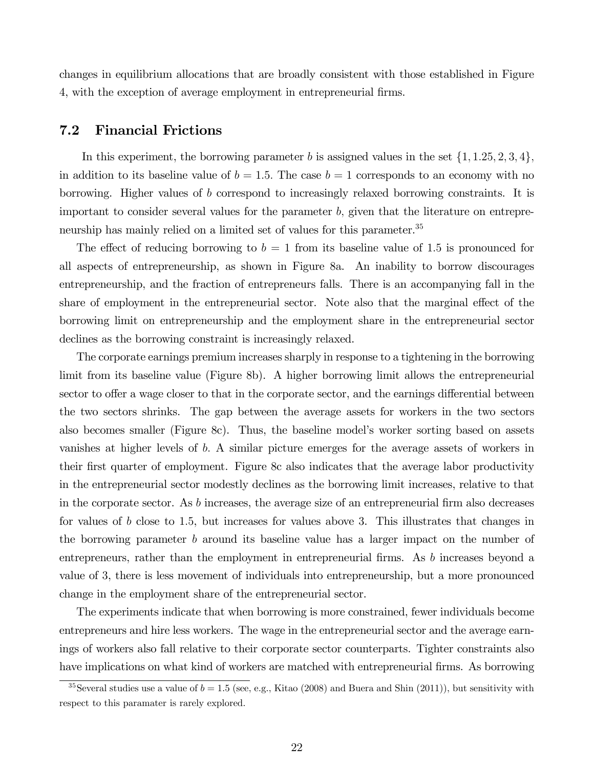changes in equilibrium allocations that are broadly consistent with those established in Figure 4, with the exception of average employment in entrepreneurial firms.

#### 7.2 Financial Frictions

In this experiment, the borrowing parameter b is assigned values in the set  $\{1, 1.25, 2, 3, 4\}$ , in addition to its baseline value of  $b = 1.5$ . The case  $b = 1$  corresponds to an economy with no borrowing. Higher values of b correspond to increasingly relaxed borrowing constraints. It is important to consider several values for the parameter  $b$ , given that the literature on entrepreneurship has mainly relied on a limited set of values for this parameter.<sup>35</sup>

The effect of reducing borrowing to  $b = 1$  from its baseline value of 1.5 is pronounced for all aspects of entrepreneurship, as shown in Figure 8a. An inability to borrow discourages entrepreneurship, and the fraction of entrepreneurs falls. There is an accompanying fall in the share of employment in the entrepreneurial sector. Note also that the marginal effect of the borrowing limit on entrepreneurship and the employment share in the entrepreneurial sector declines as the borrowing constraint is increasingly relaxed.

The corporate earnings premium increases sharply in response to a tightening in the borrowing limit from its baseline value (Figure 8b). A higher borrowing limit allows the entrepreneurial sector to offer a wage closer to that in the corporate sector, and the earnings differential between the two sectors shrinks. The gap between the average assets for workers in the two sectors also becomes smaller (Figure 8c). Thus, the baseline model's worker sorting based on assets vanishes at higher levels of b. A similar picture emerges for the average assets of workers in their first quarter of employment. Figure 8c also indicates that the average labor productivity in the entrepreneurial sector modestly declines as the borrowing limit increases, relative to that in the corporate sector. As b increases, the average size of an entrepreneurial firm also decreases for values of b close to 1.5, but increases for values above 3. This illustrates that changes in the borrowing parameter b around its baseline value has a larger impact on the number of entrepreneurs, rather than the employment in entrepreneurial firms. As b increases beyond a value of 3, there is less movement of individuals into entrepreneurship, but a more pronounced change in the employment share of the entrepreneurial sector.

The experiments indicate that when borrowing is more constrained, fewer individuals become entrepreneurs and hire less workers. The wage in the entrepreneurial sector and the average earnings of workers also fall relative to their corporate sector counterparts. Tighter constraints also have implications on what kind of workers are matched with entrepreneurial firms. As borrowing

<sup>&</sup>lt;sup>35</sup>Several studies use a value of  $b = 1.5$  (see, e.g., Kitao (2008) and Buera and Shin (2011)), but sensitivity with respect to this paramater is rarely explored.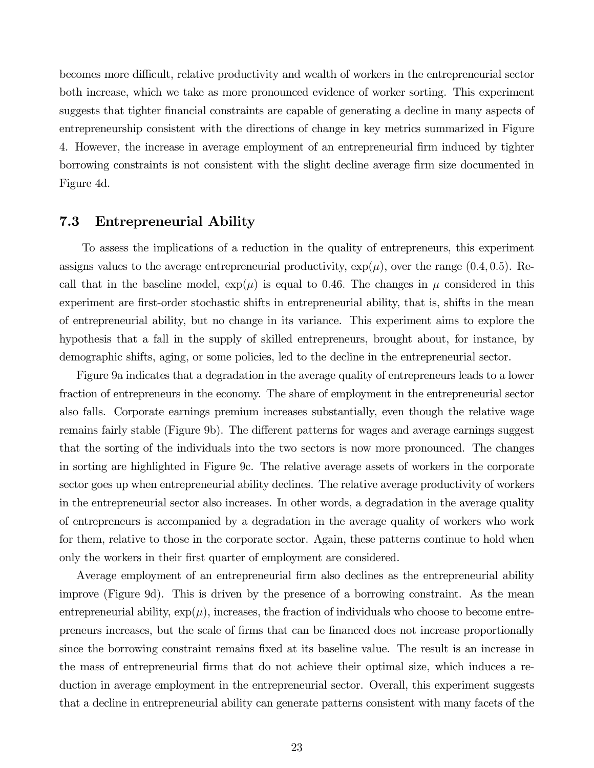becomes more difficult, relative productivity and wealth of workers in the entrepreneurial sector both increase, which we take as more pronounced evidence of worker sorting. This experiment suggests that tighter financial constraints are capable of generating a decline in many aspects of entrepreneurship consistent with the directions of change in key metrics summarized in Figure 4. However, the increase in average employment of an entrepreneurial firm induced by tighter borrowing constraints is not consistent with the slight decline average firm size documented in Figure 4d.

#### 7.3 Entrepreneurial Ability

To assess the implications of a reduction in the quality of entrepreneurs, this experiment assigns values to the average entrepreneurial productivity,  $\exp(\mu)$ , over the range (0.4, 0.5). Recall that in the baseline model,  $\exp(\mu)$  is equal to 0.46. The changes in  $\mu$  considered in this experiment are first-order stochastic shifts in entrepreneurial ability, that is, shifts in the mean of entrepreneurial ability, but no change in its variance. This experiment aims to explore the hypothesis that a fall in the supply of skilled entrepreneurs, brought about, for instance, by demographic shifts, aging, or some policies, led to the decline in the entrepreneurial sector.

Figure 9a indicates that a degradation in the average quality of entrepreneurs leads to a lower fraction of entrepreneurs in the economy. The share of employment in the entrepreneurial sector also falls. Corporate earnings premium increases substantially, even though the relative wage remains fairly stable (Figure 9b). The different patterns for wages and average earnings suggest that the sorting of the individuals into the two sectors is now more pronounced. The changes in sorting are highlighted in Figure 9c. The relative average assets of workers in the corporate sector goes up when entrepreneurial ability declines. The relative average productivity of workers in the entrepreneurial sector also increases. In other words, a degradation in the average quality of entrepreneurs is accompanied by a degradation in the average quality of workers who work for them, relative to those in the corporate sector. Again, these patterns continue to hold when only the workers in their first quarter of employment are considered.

Average employment of an entrepreneurial firm also declines as the entrepreneurial ability improve (Figure 9d). This is driven by the presence of a borrowing constraint. As the mean entrepreneurial ability,  $\exp(\mu)$ , increases, the fraction of individuals who choose to become entrepreneurs increases, but the scale of firms that can be financed does not increase proportionally since the borrowing constraint remains fixed at its baseline value. The result is an increase in the mass of entrepreneurial firms that do not achieve their optimal size, which induces a reduction in average employment in the entrepreneurial sector. Overall, this experiment suggests that a decline in entrepreneurial ability can generate patterns consistent with many facets of the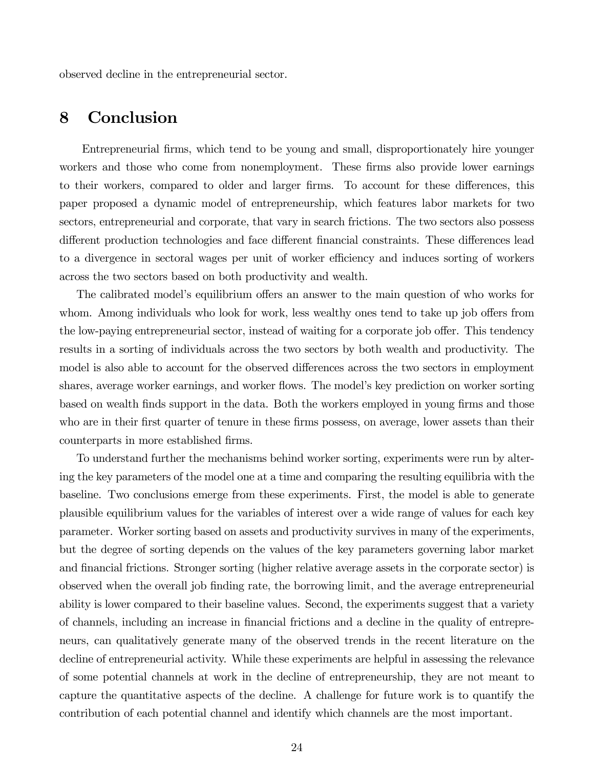observed decline in the entrepreneurial sector.

## 8 Conclusion

Entrepreneurial firms, which tend to be young and small, disproportionately hire younger workers and those who come from nonemployment. These firms also provide lower earnings to their workers, compared to older and larger firms. To account for these differences, this paper proposed a dynamic model of entrepreneurship, which features labor markets for two sectors, entrepreneurial and corporate, that vary in search frictions. The two sectors also possess different production technologies and face different financial constraints. These differences lead to a divergence in sectoral wages per unit of worker efficiency and induces sorting of workers across the two sectors based on both productivity and wealth.

The calibrated model's equilibrium offers an answer to the main question of who works for whom. Among individuals who look for work, less wealthy ones tend to take up job offers from the low-paying entrepreneurial sector, instead of waiting for a corporate job offer. This tendency results in a sorting of individuals across the two sectors by both wealth and productivity. The model is also able to account for the observed differences across the two sectors in employment shares, average worker earnings, and worker flows. The model's key prediction on worker sorting based on wealth finds support in the data. Both the workers employed in young firms and those who are in their first quarter of tenure in these firms possess, on average, lower assets than their counterparts in more established firms.

To understand further the mechanisms behind worker sorting, experiments were run by altering the key parameters of the model one at a time and comparing the resulting equilibria with the baseline. Two conclusions emerge from these experiments. First, the model is able to generate plausible equilibrium values for the variables of interest over a wide range of values for each key parameter. Worker sorting based on assets and productivity survives in many of the experiments, but the degree of sorting depends on the values of the key parameters governing labor market and financial frictions. Stronger sorting (higher relative average assets in the corporate sector) is observed when the overall job finding rate, the borrowing limit, and the average entrepreneurial ability is lower compared to their baseline values. Second, the experiments suggest that a variety of channels, including an increase in financial frictions and a decline in the quality of entrepreneurs, can qualitatively generate many of the observed trends in the recent literature on the decline of entrepreneurial activity. While these experiments are helpful in assessing the relevance of some potential channels at work in the decline of entrepreneurship, they are not meant to capture the quantitative aspects of the decline. A challenge for future work is to quantify the contribution of each potential channel and identify which channels are the most important.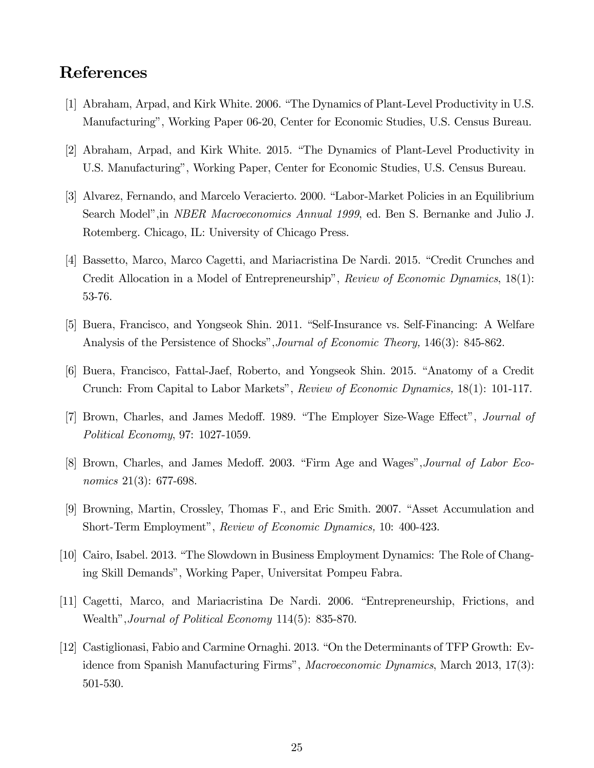## References

- [1] Abraham, Arpad, and Kirk White. 2006. "The Dynamics of Plant-Level Productivity in U.S. Manufacturing", Working Paper 06-20, Center for Economic Studies, U.S. Census Bureau.
- [2] Abraham, Arpad, and Kirk White. 2015. "The Dynamics of Plant-Level Productivity in U.S. Manufacturing", Working Paper, Center for Economic Studies, U.S. Census Bureau.
- [3] Alvarez, Fernando, and Marcelo Veracierto. 2000. "Labor-Market Policies in an Equilibrium Search Model",in NBER Macroeconomics Annual 1999, ed. Ben S. Bernanke and Julio J. Rotemberg. Chicago, IL: University of Chicago Press.
- [4] Bassetto, Marco, Marco Cagetti, and Mariacristina De Nardi. 2015. "Credit Crunches and Credit Allocation in a Model of Entrepreneurship", Review of Economic Dynamics, 18(1): 53-76.
- [5] Buera, Francisco, and Yongseok Shin. 2011. "Self-Insurance vs. Self-Financing: A Welfare Analysis of the Persistence of Shocks", Journal of Economic Theory, 146(3): 845-862.
- [6] Buera, Francisco, Fattal-Jaef, Roberto, and Yongseok Shin. 2015. "Anatomy of a Credit Crunch: From Capital to Labor Markets", Review of Economic Dynamics, 18(1): 101-117.
- [7] Brown, Charles, and James Medoff. 1989. "The Employer Size-Wage Effect", Journal of Political Economy, 97: 1027-1059.
- [8] Brown, Charles, and James Medoff. 2003. "Firm Age and Wages",Journal of Labor Economics 21(3): 677-698.
- [9] Browning, Martin, Crossley, Thomas F., and Eric Smith. 2007. "Asset Accumulation and Short-Term Employment", Review of Economic Dynamics, 10: 400-423.
- [10] Cairo, Isabel. 2013. "The Slowdown in Business Employment Dynamics: The Role of Changing Skill Demands", Working Paper, Universitat Pompeu Fabra.
- [11] Cagetti, Marco, and Mariacristina De Nardi. 2006. "Entrepreneurship, Frictions, and Wealth",Journal of Political Economy 114(5): 835-870.
- [12] Castiglionasi, Fabio and Carmine Ornaghi. 2013. "On the Determinants of TFP Growth: Evidence from Spanish Manufacturing Firms", Macroeconomic Dynamics, March 2013, 17(3): 501-530.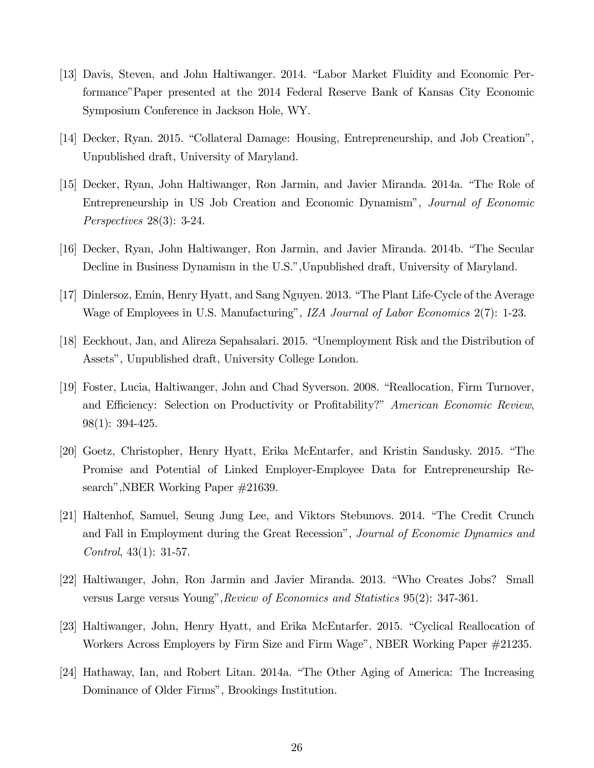- [13] Davis, Steven, and John Haltiwanger. 2014. "Labor Market Fluidity and Economic Performance"Paper presented at the 2014 Federal Reserve Bank of Kansas City Economic Symposium Conference in Jackson Hole, WY.
- [14] Decker, Ryan. 2015. "Collateral Damage: Housing, Entrepreneurship, and Job Creation", Unpublished draft, University of Maryland.
- [15] Decker, Ryan, John Haltiwanger, Ron Jarmin, and Javier Miranda. 2014a. "The Role of Entrepreneurship in US Job Creation and Economic Dynamism", Journal of Economic Perspectives 28(3): 3-24.
- [16] Decker, Ryan, John Haltiwanger, Ron Jarmin, and Javier Miranda. 2014b. "The Secular Decline in Business Dynamism in the U.S.",Unpublished draft, University of Maryland.
- [17] Dinlersoz, Emin, Henry Hyatt, and Sang Nguyen. 2013. "The Plant Life-Cycle of the Average Wage of Employees in U.S. Manufacturing", *IZA Journal of Labor Economics* 2(7): 1-23.
- [18] Eeckhout, Jan, and Alireza Sepahsalari. 2015. "Unemployment Risk and the Distribution of Assets", Unpublished draft, University College London.
- [19] Foster, Lucia, Haltiwanger, John and Chad Syverson. 2008. "Reallocation, Firm Turnover, and Efficiency: Selection on Productivity or Profitability?" American Economic Review, 98(1): 394-425.
- [20] Goetz, Christopher, Henry Hyatt, Erika McEntarfer, and Kristin Sandusky. 2015. "The Promise and Potential of Linked Employer-Employee Data for Entrepreneurship Research",NBER Working Paper #21639.
- [21] Haltenhof, Samuel, Seung Jung Lee, and Viktors Stebunovs. 2014. "The Credit Crunch and Fall in Employment during the Great Recession", Journal of Economic Dynamics and Control, 43(1): 31-57.
- [22] Haltiwanger, John, Ron Jarmin and Javier Miranda. 2013. "Who Creates Jobs? Small versus Large versus Young", Review of Economics and Statistics 95(2): 347-361.
- [23] Haltiwanger, John, Henry Hyatt, and Erika McEntarfer. 2015. "Cyclical Reallocation of Workers Across Employers by Firm Size and Firm Wage", NBER Working Paper #21235.
- [24] Hathaway, Ian, and Robert Litan. 2014a. "The Other Aging of America: The Increasing Dominance of Older Firms", Brookings Institution.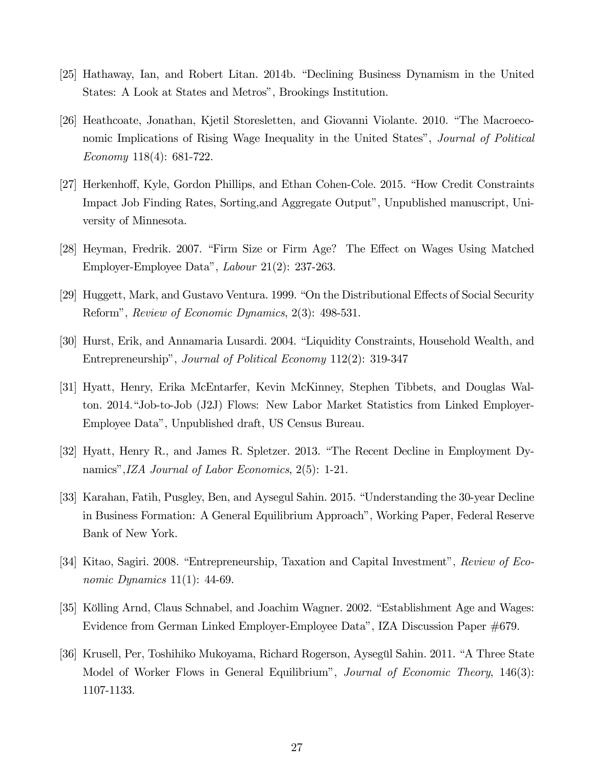- [25] Hathaway, Ian, and Robert Litan. 2014b. "Declining Business Dynamism in the United States: A Look at States and Metros", Brookings Institution.
- [26] Heathcoate, Jonathan, Kjetil Storesletten, and Giovanni Violante. 2010. "The Macroeconomic Implications of Rising Wage Inequality in the United States", Journal of Political Economy 118(4): 681-722.
- [27] Herkenhoff, Kyle, Gordon Phillips, and Ethan Cohen-Cole. 2015. "How Credit Constraints Impact Job Finding Rates, Sorting,and Aggregate Output", Unpublished manuscript, University of Minnesota.
- [28] Heyman, Fredrik. 2007. "Firm Size or Firm Age? The Effect on Wages Using Matched Employer-Employee Data", Labour 21(2): 237-263.
- [29] Huggett, Mark, and Gustavo Ventura. 1999. "On the Distributional Effects of Social Security Reform", Review of Economic Dynamics, 2(3): 498-531.
- [30] Hurst, Erik, and Annamaria Lusardi. 2004. "Liquidity Constraints, Household Wealth, and Entrepreneurship", Journal of Political Economy 112(2): 319-347
- [31] Hyatt, Henry, Erika McEntarfer, Kevin McKinney, Stephen Tibbets, and Douglas Walton. 2014."Job-to-Job (J2J) Flows: New Labor Market Statistics from Linked Employer-Employee Data", Unpublished draft, US Census Bureau.
- [32] Hyatt, Henry R., and James R. Spletzer. 2013. "The Recent Decline in Employment Dynamics",IZA Journal of Labor Economics, 2(5): 1-21.
- [33] Karahan, Fatih, Pusgley, Ben, and Aysegul Sahin. 2015. "Understanding the 30-year Decline in Business Formation: A General Equilibrium Approach", Working Paper, Federal Reserve Bank of New York.
- [34] Kitao, Sagiri. 2008. "Entrepreneurship, Taxation and Capital Investment", Review of Economic Dynamics 11(1): 44-69.
- [35] Kölling Arnd, Claus Schnabel, and Joachim Wagner. 2002. "Establishment Age and Wages: Evidence from German Linked Employer-Employee Data", IZA Discussion Paper #679.
- [36] Krusell, Per, Toshihiko Mukoyama, Richard Rogerson, Aysegül Sahin. 2011. "A Three State Model of Worker Flows in General Equilibrium", *Journal of Economic Theory*, 146(3): 1107-1133.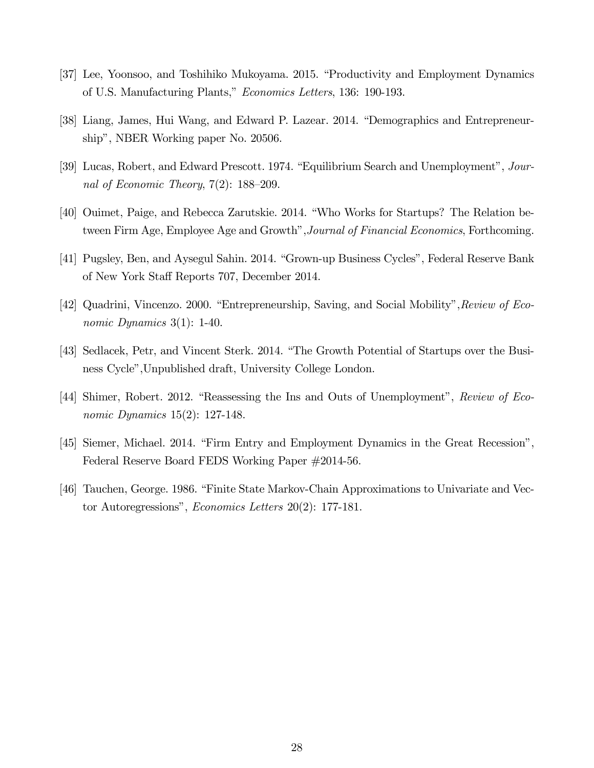- [37] Lee, Yoonsoo, and Toshihiko Mukoyama. 2015. "Productivity and Employment Dynamics of U.S. Manufacturing Plants," Economics Letters, 136: 190-193.
- [38] Liang, James, Hui Wang, and Edward P. Lazear. 2014. "Demographics and Entrepreneurship", NBER Working paper No. 20506.
- [39] Lucas, Robert, and Edward Prescott. 1974. "Equilibrium Search and Unemployment", Journal of Economic Theory, 7(2): 188—209.
- [40] Ouimet, Paige, and Rebecca Zarutskie. 2014. "Who Works for Startups? The Relation between Firm Age, Employee Age and Growth",Journal of Financial Economics, Forthcoming.
- [41] Pugsley, Ben, and Aysegul Sahin. 2014. "Grown-up Business Cycles", Federal Reserve Bank of New York Staff Reports 707, December 2014.
- [42] Quadrini, Vincenzo. 2000. "Entrepreneurship, Saving, and Social Mobility", Review of Economic Dynamics 3(1): 1-40.
- [43] Sedlacek, Petr, and Vincent Sterk. 2014. "The Growth Potential of Startups over the Business Cycle",Unpublished draft, University College London.
- [44] Shimer, Robert. 2012. "Reassessing the Ins and Outs of Unemployment", Review of Economic Dynamics 15(2): 127-148.
- [45] Siemer, Michael. 2014. "Firm Entry and Employment Dynamics in the Great Recession", Federal Reserve Board FEDS Working Paper #2014-56.
- [46] Tauchen, George. 1986. "Finite State Markov-Chain Approximations to Univariate and Vector Autoregressions", Economics Letters 20(2): 177-181.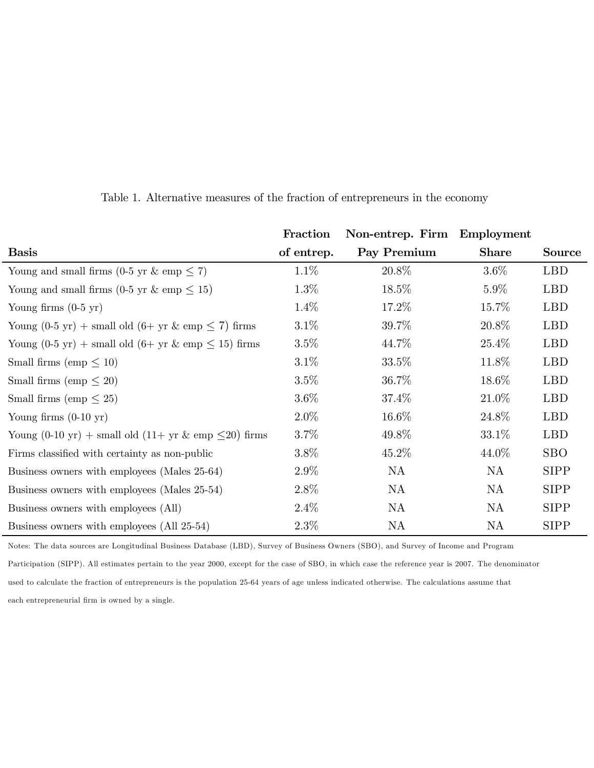|                                                                                      | Fraction   | Non-entrep. Firm Employment |              |               |
|--------------------------------------------------------------------------------------|------------|-----------------------------|--------------|---------------|
| <b>Basis</b>                                                                         | of entrep. | Pay Premium                 | <b>Share</b> | <b>Source</b> |
| Young and small firms (0-5 yr & emp $\leq$ 7)                                        | $1.1\%$    | 20.8%                       | $3.6\%$      | <b>LBD</b>    |
| Young and small firms (0-5 yr & emp $\leq$ 15)                                       | $1.3\%$    | 18.5%                       | $5.9\%$      | <b>LBD</b>    |
| Young firms $(0-5 \text{ yr})$                                                       | $1.4\%$    | 17.2%                       | 15.7%        | <b>LBD</b>    |
| Young $(0-5 \text{ yr})$ + small old $(6+\text{ yr} \& \text{ emp} \leq 7)$ firms    | $3.1\%$    | 39.7%                       | 20.8%        | <b>LBD</b>    |
| Young $(0-5 \text{ yr})$ + small old $(6+\text{ yr} \& \text{emp} \le 15)$ firms     | 3.5%       | 44.7%                       | 25.4\%       | <b>LBD</b>    |
| Small firms (emp $\leq 10$ )                                                         | $3.1\%$    | 33.5\%                      | 11.8%        | <b>LBD</b>    |
| Small firms (emp $\leq 20$ )                                                         | $3.5\%$    | 36.7%                       | 18.6%        | <b>LBD</b>    |
| Small firms (emp $\leq 25$ )                                                         | $3.6\%$    | 37.4%                       | 21.0%        | <b>LBD</b>    |
| Young firms $(0-10 \text{ yr})$                                                      | $2.0\%$    | 16.6%                       | 24.8%        | <b>LBD</b>    |
| Young $(0-10 \text{ yr})$ + small old $(11+\text{ yr} \& \text{ emp} \leq 20)$ firms | $3.7\%$    | 49.8%                       | $33.1\%$     | <b>LBD</b>    |
| Firms classified with certainty as non-public                                        | $3.8\%$    | 45.2%                       | 44.0\%       | <b>SBO</b>    |
| Business owners with employees (Males 25-64)                                         | $2.9\%$    | NA                          | NA           | <b>SIPP</b>   |
| Business owners with employees (Males 25-54)                                         | $2.8\%$    | NA                          | NA           | <b>SIPP</b>   |
| Business owners with employees (All)                                                 | $2.4\%$    | NA                          | NA           | <b>SIPP</b>   |
| Business owners with employees (All 25-54)                                           | $2.3\%$    | NA                          | NA           | <b>SIPP</b>   |

Table 1. Alternative measures of the fraction of entrepreneurs in the economy

Notes: The data sources are Longitudinal Business Database (LBD), Survey of Business Owners (SBO), and Survey of Income and Program Participation (SIPP). All estimates pertain to the year 2000, except for the case of SBO, in which case the reference year is 2007. The denominator used to calculate the fraction of entrepreneurs is the population 25-64 years of age unless indicated otherwise. The calculations assume that each entrepreneurial firm is owned by a single.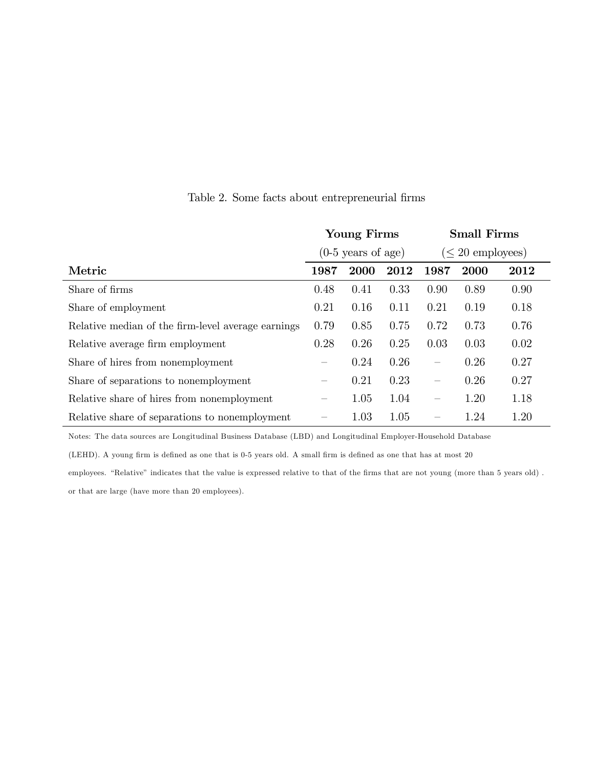|                                                    | <b>Young Firms</b>              |             | <b>Small Firms</b> |                                 |      |      |
|----------------------------------------------------|---------------------------------|-------------|--------------------|---------------------------------|------|------|
|                                                    | $(0-5 \text{ years of age})$    |             |                    | $(\leq 20$ employees)           |      |      |
| Metric                                             | 1987                            | <b>2000</b> | 2012               | 1987                            | 2000 | 2012 |
| Share of firms                                     | 0.48                            | 0.41        | 0.33               | 0.90                            | 0.89 | 0.90 |
| Share of employment                                | 0.21                            | 0.16        | 0.11               | 0.21                            | 0.19 | 0.18 |
| Relative median of the firm-level average earnings | 0.79                            | 0.85        | 0.75               | 0.72                            | 0.73 | 0.76 |
| Relative average firm employment                   | 0.28                            | 0.26        | 0.25               | 0.03                            | 0.03 | 0.02 |
| Share of hires from nonemployment                  | $\hspace{0.1mm}-\hspace{0.1mm}$ | 0.24        | 0.26               | $\overline{\phantom{m}}$        | 0.26 | 0.27 |
| Share of separations to nonemployment              | $\overline{\phantom{0}}$        | 0.21        | 0.23               | $\overline{\phantom{0}}$        | 0.26 | 0.27 |
| Relative share of hires from nonemployment         |                                 | 1.05        | 1.04               | $\overbrace{\qquad \qquad }^{}$ | 1.20 | 1.18 |
| Relative share of separations to nonemployment     |                                 | 1.03        | 1.05               |                                 | 1.24 | 1.20 |

#### Table 2. Some facts about entrepreneurial firms

Notes: The data sources are Longitudinal Business Database (LBD) and Longitudinal Employer-Household Database

(LEHD). A young firm is defined as one that is 0-5 years old. A small firm is defined as one that has at most 20

employees. "Relative" indicates that the value is expressed relative to that of the firms that are not young (more than 5 years old) . or that are large (have more than 20 employees).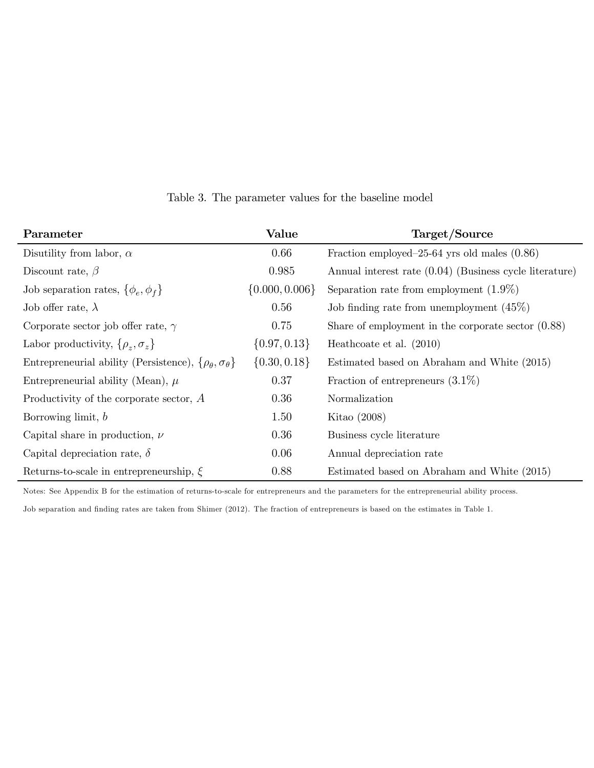| Parameter                                                                    | Value              | Target/Source                                           |
|------------------------------------------------------------------------------|--------------------|---------------------------------------------------------|
| Disutility from labor, $\alpha$                                              | 0.66               | Fraction employed–25-64 yrs old males $(0.86)$          |
| Discount rate, $\beta$                                                       | 0.985              | Annual interest rate (0.04) (Business cycle literature) |
| Job separation rates, $\{\phi_e, \phi_f\}$                                   | $\{0.000, 0.006\}$ | Separation rate from employment $(1.9\%)$               |
| Job offer rate, $\lambda$                                                    | 0.56               | Job finding rate from unemployment $(45\%)$             |
| Corporate sector job offer rate, $\gamma$                                    | 0.75               | Share of employment in the corporate sector $(0.88)$    |
| Labor productivity, $\{\rho_z, \sigma_z\}$                                   | $\{0.97, 0.13\}$   | Heathcoate et al. $(2010)$                              |
| Entrepreneurial ability (Persistence), $\{\rho_{\theta}, \sigma_{\theta}\}\$ | $\{0.30, 0.18\}$   | Estimated based on Abraham and White (2015)             |
| Entrepreneurial ability (Mean), $\mu$                                        | 0.37               | Fraction of entrepreneurs $(3.1\%)$                     |
| Productivity of the corporate sector, $A$                                    | 0.36               | Normalization                                           |
| Borrowing limit, $b$                                                         | 1.50               | Kitao $(2008)$                                          |
| Capital share in production, $\nu$                                           | 0.36               | Business cycle literature                               |
| Capital depreciation rate, $\delta$                                          | 0.06               | Annual depreciation rate                                |
| Returns-to-scale in entrepreneurship, $\xi$                                  | 0.88               | Estimated based on Abraham and White (2015)             |

Table 3. The parameter values for the baseline model

Notes: See Appendix B for the estimation of returns-to-scale for entrepreneurs and the parameters for the entrepreneurial ability process.

Job separation and finding rates are taken from Shimer (2012). The fraction of entrepreneurs is based on the estimates in Table 1.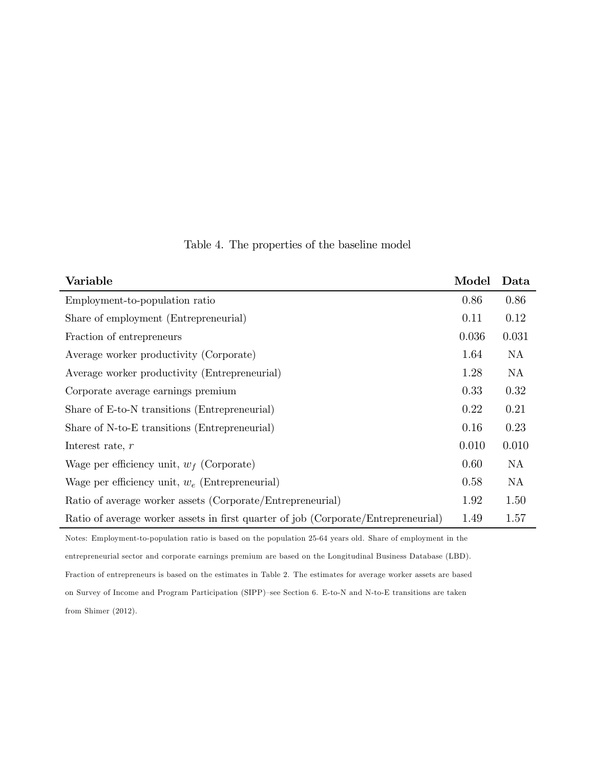| Variable                                                                           | Model | Data  |
|------------------------------------------------------------------------------------|-------|-------|
| Employment-to-population ratio                                                     | 0.86  | 0.86  |
| Share of employment (Entrepreneurial)                                              | 0.11  | 0.12  |
| Fraction of entrepreneurs                                                          | 0.036 | 0.031 |
| Average worker productivity (Corporate)                                            | 1.64  | NA    |
| Average worker productivity (Entrepreneurial)                                      | 1.28  | NA    |
| Corporate average earnings premium                                                 | 0.33  | 0.32  |
| Share of E-to-N transitions (Entrepreneurial)                                      | 0.22  | 0.21  |
| Share of N-to-E transitions (Entrepreneurial)                                      | 0.16  | 0.23  |
| Interest rate, $r$                                                                 | 0.010 | 0.010 |
| Wage per efficiency unit, $w_f$ (Corporate)                                        | 0.60  | NA    |
| Wage per efficiency unit, $w_e$ (Entrepreneurial)                                  | 0.58  | NA    |
| Ratio of average worker assets (Corporate/Entrepreneurial)                         | 1.92  | 1.50  |
| Ratio of average worker assets in first quarter of job (Corporate/Entrepreneurial) | 1.49  | 1.57  |

Table 4. The properties of the baseline model

Notes: Employment-to-population ratio is based on the population 25-64 years old. Share of employment in the entrepreneurial sector and corporate earnings premium are based on the Longitudinal Business Database (LBD). Fraction of entrepreneurs is based on the estimates in Table 2. The estimates for average worker assets are based on Survey of Income and Program Participation (SIPP)—see Section 6. E-to-N and N-to-E transitions are taken from Shimer (2012).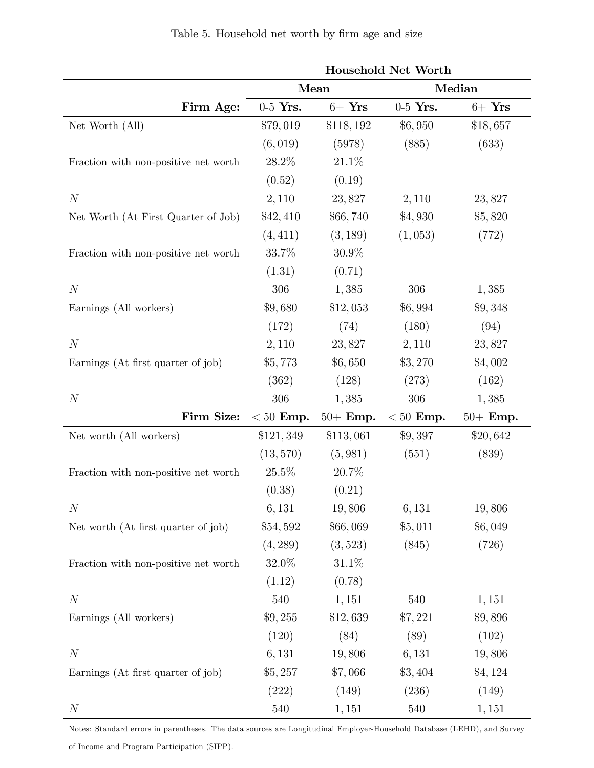|                                      | <b>Household Net Worth</b> |            |             |            |  |
|--------------------------------------|----------------------------|------------|-------------|------------|--|
|                                      | Mean                       |            | Median      |            |  |
| Firm Age:                            | $0-5$ Yrs.                 | $6+$ Yrs   | $0-5$ Yrs.  | $6+$ Yrs   |  |
| Net Worth (All)                      | \$79,019                   | \$118,192  | \$6,950     | \$18,657   |  |
|                                      | (6, 019)                   | (5978)     | (885)       | (633)      |  |
| Fraction with non-positive net worth | 28.2%                      | 21.1%      |             |            |  |
|                                      | (0.52)                     | (0.19)     |             |            |  |
| N                                    | 2,110                      | 23,827     | 2,110       | 23,827     |  |
| Net Worth (At First Quarter of Job)  | \$42,410                   | \$66,740   | \$4,930     | \$5,820    |  |
|                                      | (4, 411)                   | (3, 189)   | (1,053)     | (772)      |  |
| Fraction with non-positive net worth | 33.7%                      | $30.9\%$   |             |            |  |
|                                      | (1.31)                     | (0.71)     |             |            |  |
| $\overline{N}$                       | 306                        | 1,385      | 306         | 1,385      |  |
| Earnings (All workers)               | \$9,680                    | \$12,053   | \$6,994     | \$9,348    |  |
|                                      | (172)                      | (74)       | (180)       | (94)       |  |
| $\cal N$                             | 2,110                      | 23,827     | 2,110       | 23,827     |  |
| Earnings (At first quarter of job)   | \$5,773                    | \$6,650    | \$3,270     | \$4,002    |  |
|                                      | (362)                      | (128)      | (273)       | (162)      |  |
| $\boldsymbol{N}$                     | 306                        | 1,385      | 306         | 1,385      |  |
| Firm Size:                           | $< 50$ Emp.                | $50+$ Emp. | $< 50$ Emp. | $50+$ Emp. |  |
| Net worth (All workers)              | \$121,349                  | \$113,061  | \$9,397     | \$20,642   |  |
|                                      | (13, 570)                  | (5, 981)   | (551)       | (839)      |  |
| Fraction with non-positive net worth | 25.5%                      | 20.7%      |             |            |  |
|                                      | (0.38)                     | (0.21)     |             |            |  |
| $\boldsymbol{N}$                     | 6,131                      | 19,806     | 6,131       | 19,806     |  |
| Net worth (At first quarter of job)  | \$54,592                   | \$66,069   | \$5,011     | \$6,049    |  |
|                                      | (4, 289)                   | (3, 523)   | (845)       | (726)      |  |
| Fraction with non-positive net worth | 32.0%                      | 31.1\%     |             |            |  |
|                                      | (1.12)                     | (0.78)     |             |            |  |
| $\boldsymbol{N}$                     | 540                        | 1,151      | 540         | 1,151      |  |
| Earnings (All workers)               | \$9,255                    | \$12,639   | \$7,221     | \$9,896    |  |
|                                      | (120)                      | (84)       | (89)        | (102)      |  |
| $\boldsymbol{N}$                     | 6,131                      | 19,806     | 6,131       | 19,806     |  |
| Earnings (At first quarter of job)   | \$5,257                    | \$7,066    | \$3,404     | \$4,124    |  |
|                                      | (222)                      | (149)      | (236)       | (149)      |  |
| $\,N$                                | 540                        | 1,151      | $540\,$     | 1,151      |  |

Notes: Standard errors in parentheses. The data sources are Longitudinal Employer-Household Database (LEHD), and Survey

of Income and Program Participation (SIPP).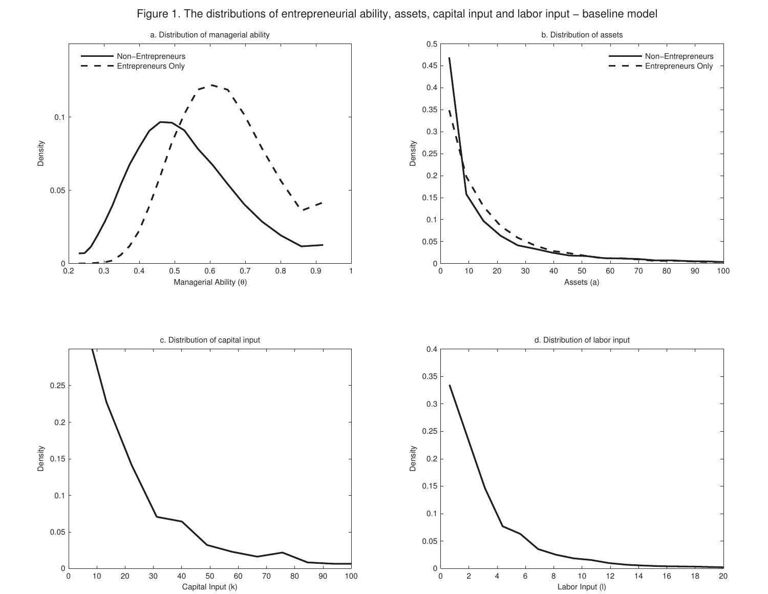Figure 1. The distributions of entrepreneurial ability, assets, capital input and labor input − baseline model

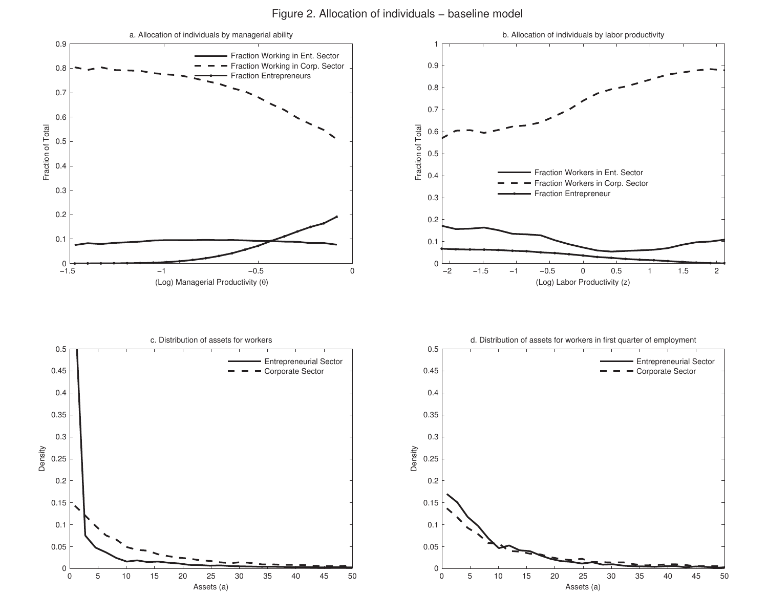Figure 2. Allocation of individuals − baseline model

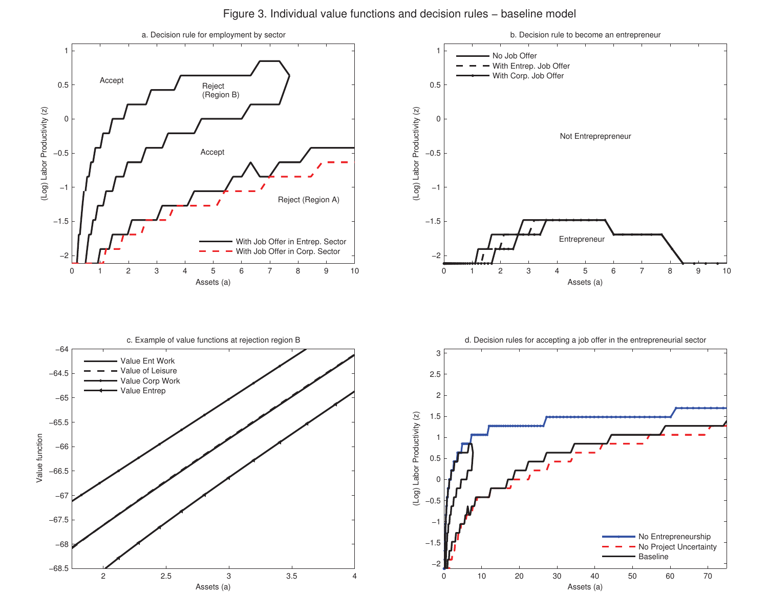Figure 3. Individual value functions and decision rules − baseline model

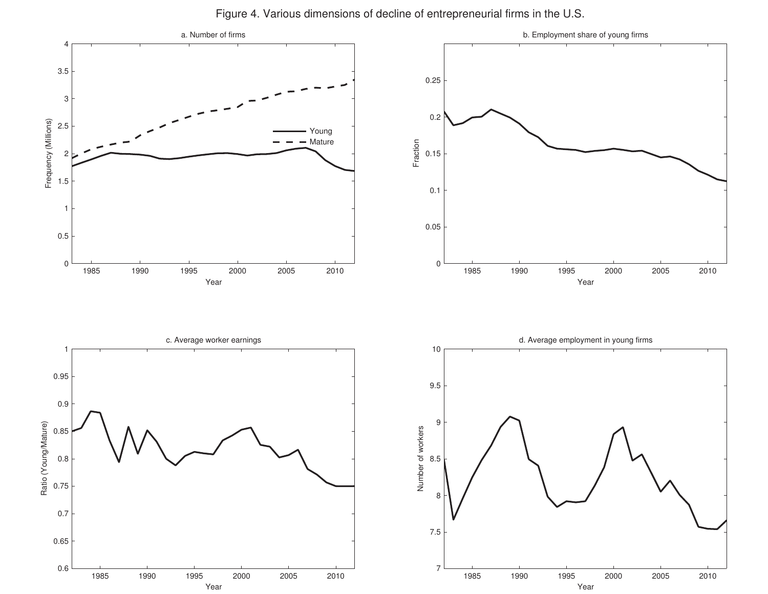

Figure 4. Various dimensions of decline of entrepreneurial firms in the U.S.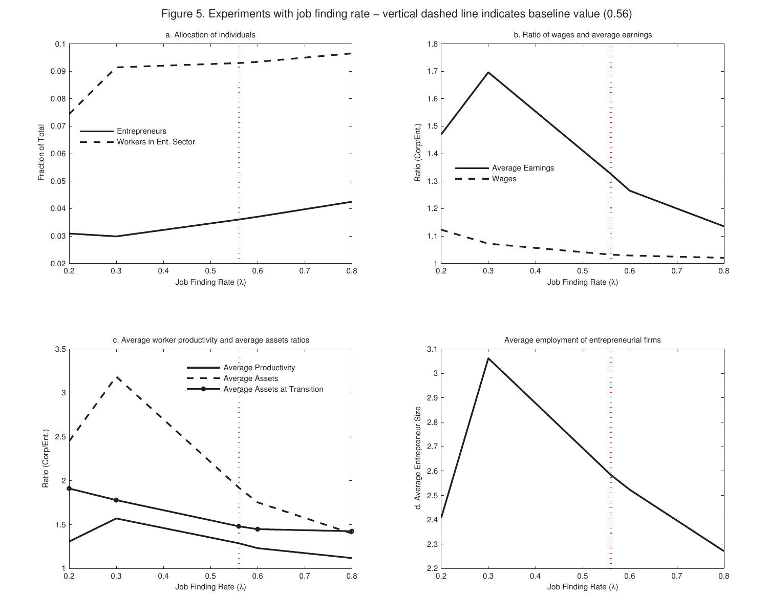Figure 5. Experiments with job finding rate − vertical dashed line indicates baseline value (0.56)

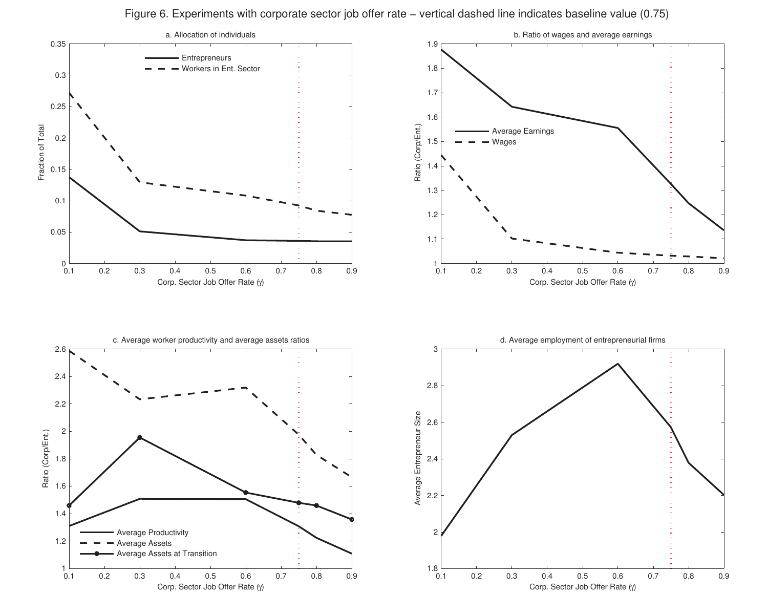Figure 6. Experiments with corporate sector job offer rate − vertical dashed line indicates baseline value (0.75)

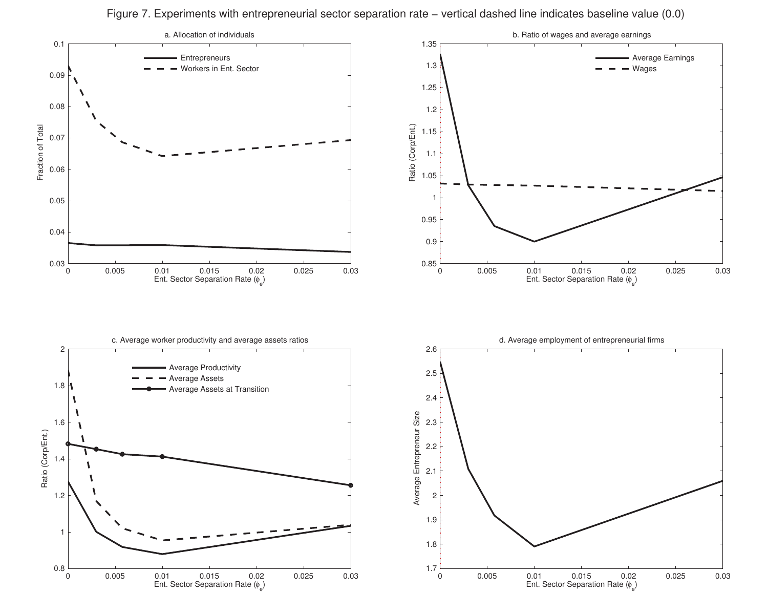Figure 7. Experiments with entrepreneurial sector separation rate − vertical dashed line indicates baseline value (0.0)

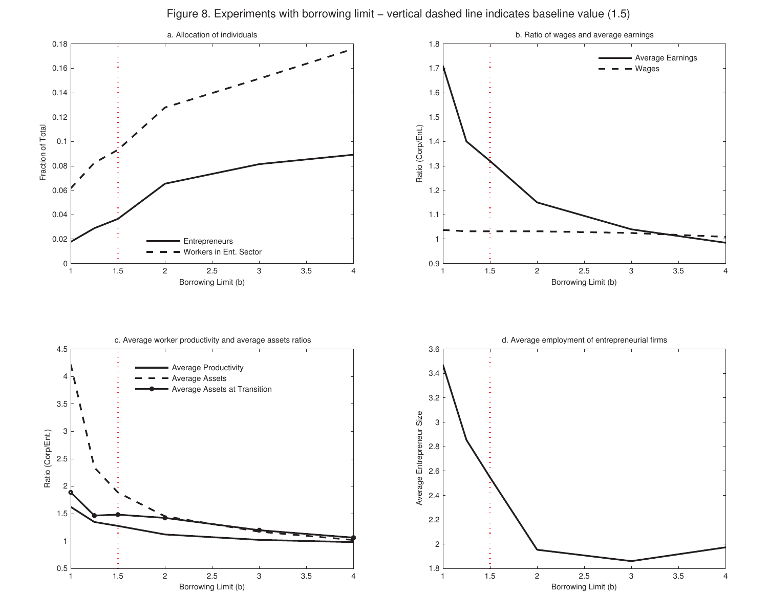Figure 8. Experiments with borrowing limit – vertical dashed line indicates baseline value (1.5)

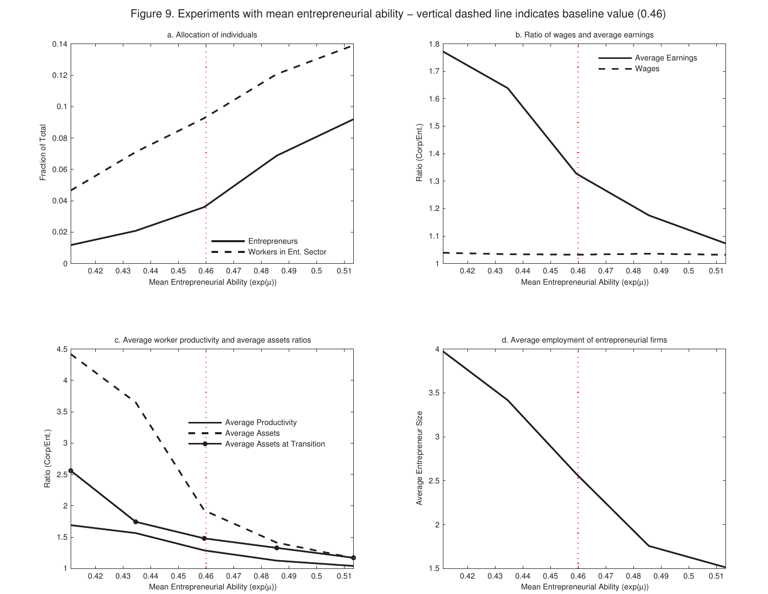Figure 9. Experiments with mean entrepreneurial ability – vertical dashed line indicates baseline value (0.46)

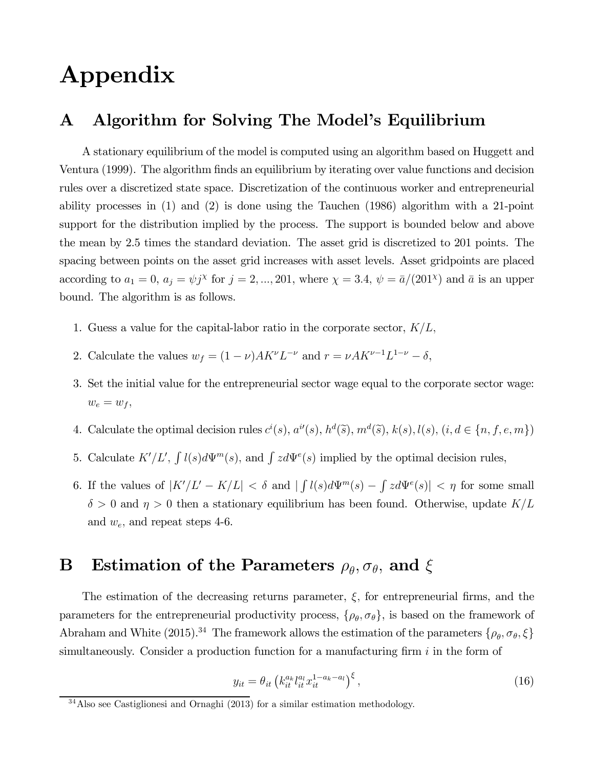# Appendix

## A Algorithm for Solving The Model's Equilibrium

A stationary equilibrium of the model is computed using an algorithm based on Huggett and Ventura (1999). The algorithm finds an equilibrium by iterating over value functions and decision rules over a discretized state space. Discretization of the continuous worker and entrepreneurial ability processes in (1) and (2) is done using the Tauchen (1986) algorithm with a 21-point support for the distribution implied by the process. The support is bounded below and above the mean by 2.5 times the standard deviation. The asset grid is discretized to 201 points. The spacing between points on the asset grid increases with asset levels. Asset gridpoints are placed according to  $a_1 = 0$ ,  $a_j = \psi j^{\chi}$  for  $j = 2, ..., 201$ , where  $\chi = 3.4$ ,  $\psi = \bar{a}/(201^{\chi})$  and  $\bar{a}$  is an upper bound. The algorithm is as follows.

- 1. Guess a value for the capital-labor ratio in the corporate sector,  $K/L$ ,
- 2. Calculate the values  $w_f = (1 \nu) A K^{\nu} L^{-\nu}$  and  $r = \nu A K^{\nu-1} L^{1-\nu} \delta$ ,
- 3. Set the initial value for the entrepreneurial sector wage equal to the corporate sector wage:  $w_e = w_f$ ,
- 4. Calculate the optimal decision rules  $c^i(s)$ ,  $a^i(s)$ ,  $h^d(\tilde{s})$ ,  $m^d(\tilde{s})$ ,  $k(s)$ ,  $l(s)$ ,  $(i, d \in \{n, f, e, m\})$
- 5. Calculate  $K'/L'$ ,  $\int l(s)d\Psi^{m}(s)$ , and  $\int z d\Psi^{e}(s)$  implied by the optimal decision rules,
- 6. If the values of  $|K'/L' K/L| < \delta$  and  $| \int l(s)d\Psi^{m}(s) \int z d\Psi^{e}(s)| < \eta$  for some small  $\delta > 0$  and  $\eta > 0$  then a stationary equilibrium has been found. Otherwise, update  $K/L$ and  $w_e$ , and repeat steps 4-6.

### **B** Estimation of the Parameters  $\rho_{\theta}, \sigma_{\theta}$ , and  $\xi$

The estimation of the decreasing returns parameter,  $\xi$ , for entrepreneurial firms, and the parameters for the entrepreneurial productivity process,  $\{\rho_{\theta}, \sigma_{\theta}\}\)$ , is based on the framework of Abraham and White (2015).<sup>34</sup> The framework allows the estimation of the parameters  $\{\rho_{\theta}, \sigma_{\theta}, \xi\}$ simultaneously. Consider a production function for a manufacturing firm  $i$  in the form of

$$
y_{it} = \theta_{it} \left( k_{it}^{a_k} l_{it}^{a_l} x_{it}^{1 - a_k - a_l} \right)^{\xi}, \tag{16}
$$

 $34$ Also see Castiglionesi and Ornaghi (2013) for a similar estimation methodology.